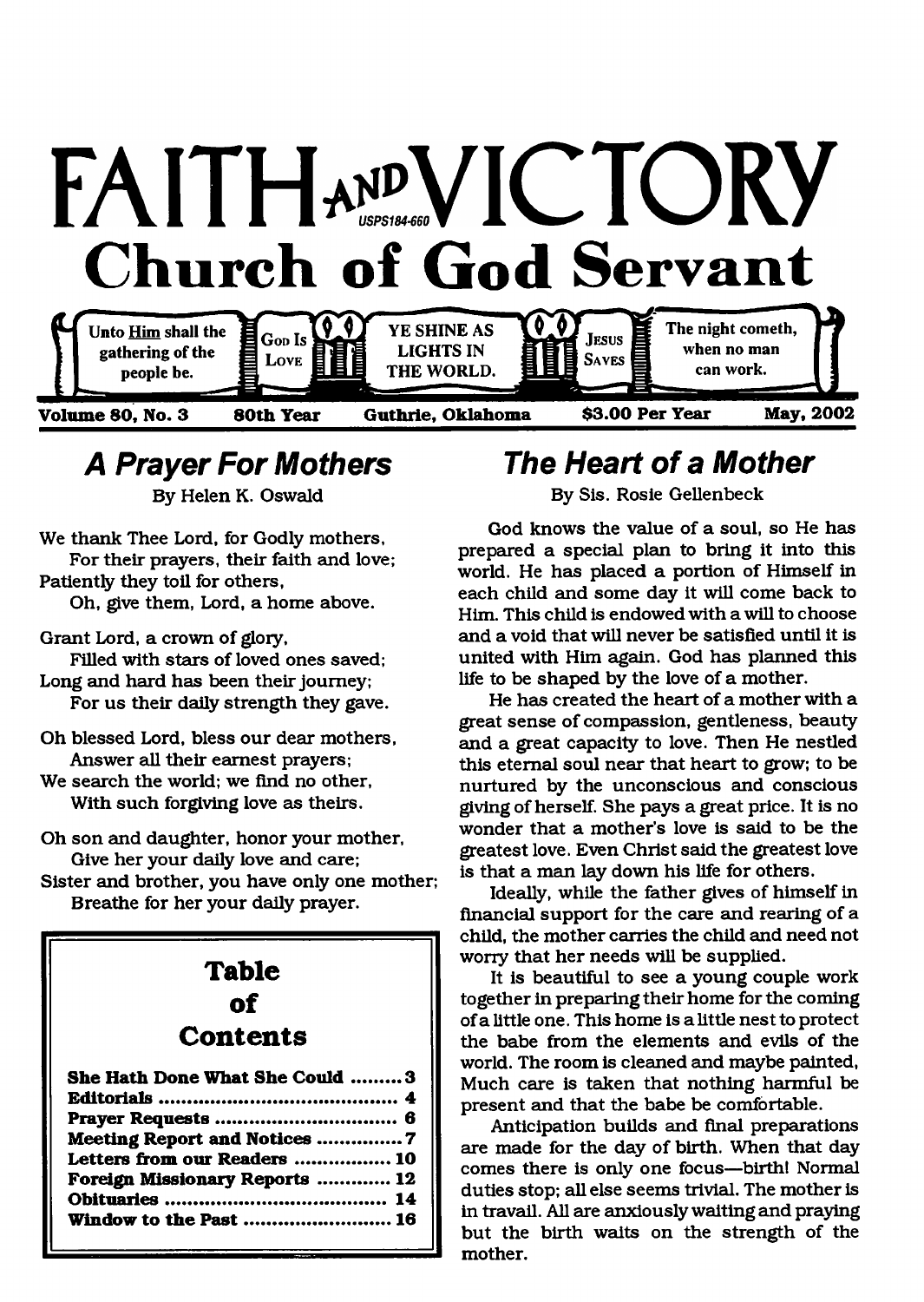

## *A Prayer For Mothers*

By Helen K. Oswald

We thank Thee Lord, for Godly mothers, For their prayers, their faith and love; Patiently they toil for others, Oh, give them, Lord, a home above.

Grant Lord, a crown of glory,

Filled with stars of loved ones saved; Long and hard has been their journey; For us their daily strength they gave.

- Oh blessed Lord, bless our dear mothers, Answer all their earnest prayers;
- We search the world; we find no other, With such forgiving love as theirs.
- Oh son and daughter, honor your mother, Give her your daily love and care;
- Sister and brother, you have only one mother; Breathe for her your daily prayer.

## **T a b le o f Contents**

| She Hath Done What She Could  3 |
|---------------------------------|
|                                 |
|                                 |
| Meeting Report and Notices 7    |
| Letters from our Readers  10    |
| Foreign Missionary Reports  12  |
|                                 |
| Window to the Past  16          |
|                                 |

## *The Heart of a Mother*

By Sis. Rosie Gellenbeck

God knows the value of a soul, so He has prepared a special plan to bring it into this world. He has placed a portion of Himself in each child and some day it will come back to Him. This child is endowed with a will to choose and a void that will never be satisfied until it is united with Him again. God has planned this life to be shaped by the love of a mother.

He has created the heart of a mother with a great sense of compassion, gentleness, beauty and a great capacity to love. Then He nestled this eternal soul near that heart to grow; to be nurtured by the unconscious and conscious giving of herself. She pays a great price. It is no wonder that a mother's love is said to be the greatest love. Even Christ said the greatest love is that a man lay down his life for others.

Ideally, while the father gives of himself in financial support for the care and rearing of a child, the mother carries the child and need not worry that her needs will be supplied.

It is beautiful to see a young couple work together in preparing their home for the coming of a little one. This home is a little nest to protect the babe from the elements and evils of the world. The room is cleaned and maybe painted, Much care is taken that nothing harmful be present and that the babe be comfortable.

Anticipation builds and final preparations are made for the day of birth. When that day comes there is only one focus—birth! Normal duties stop; all else seems trivial. The mother is in travail. All are anxiously waiting and praying but the birth waits on the strength of the mother.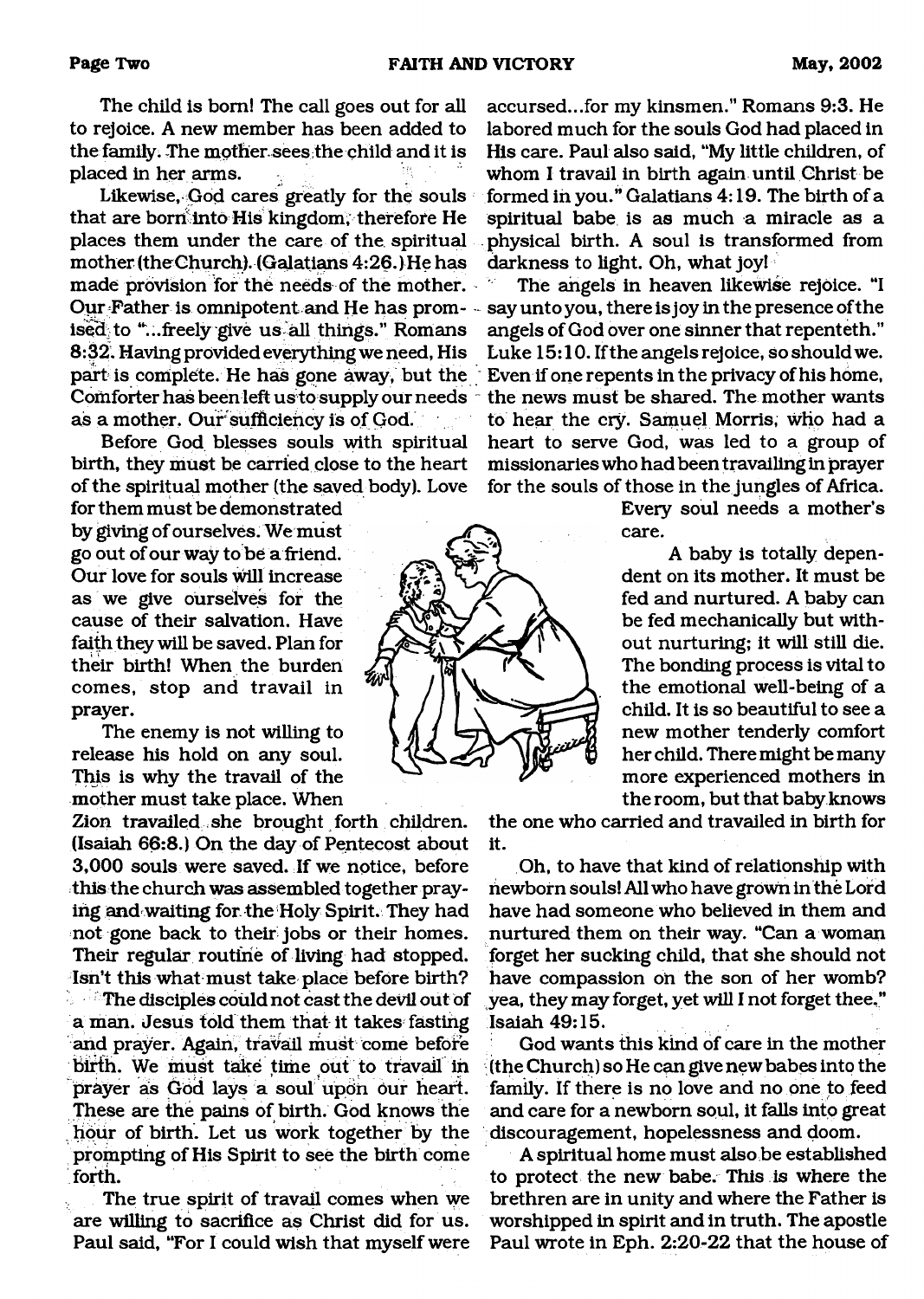The child is bom! The call goes out for all to rejoice. A new member has been added to the family. The mother, sees the child and it is placed in her arms.

Likewise, God cares greatly for the souls that are borri into His kingdom, therefore He places them under the care of the spiritual mother (theChurch). (Galatians 4:26.) He has made provision for the needs of the mother. Our Father is omnipotent and He has promised to "...freely give us all things." Romans 8:32. Having provided everything we need, His part is complete. He has gone away, but the Comforter has been left us to supply our needs as a mother. Our sufficiency is of God.

Before God blesses souls with spiritual birth, they must be carried close to the heart of the spiritual mother (the saved body). Love

for them must be demonstrated by giving of ourselves. We must go out of our way to be a friend. Our love for souls will increase as we give ourselves for the cause of their salvation. Have faith they will be saved. Plan for their birth! When the burden comes, stop and travail in prayer.

The enemy is not willing to release his hold on any soul. This is why the travail of the mother must take place. When

Zion travailed, she brought forth children. (Isaiah 66:8.) On the day of Pentecost about 3,000 souls were saved. If we notice, before this the church was assembled together praying and waiting for the Holy Spirit. They had not gone back to their jobs or their homes. Their regular routine of living had stopped. Isn't this what must take place before birth?  $\sim$  The disciples could not cast the devil out of a man. Jesus told them that it takes fasting and prayer. Again, travail must come before bfrth. We must take time out to travail in prayer as God lays a soul upon our heart. These are the pains of birth. God knows the . hour of birth. Let us work together by the prompting of His Spirit to see the birth come forth.

The true spirit of travail comes when we are willing to sacrifice as Christ did for us. Paul said, "For I could wish that myself were

ÛÄ

accursed...for my kinsmen." Romans 9:3. He labored much for the souls God had placed in His care. Paul also said, "My little children, of whom I travail in birth again until Christ be formed in you." Galatians 4:19. The birth of a spiritual babe is as much a miracle as a physical birth. A soul is transformed from darkness to light. Oh, what joy!

The angels in heaven likewise rejoice. "I say untoyou, there isjoy in the presence of the angels of God over one sinner that repenteth." Luke 15:10. If the angels rejoice, so should we. Even if one repents in the privacy of his home, the news must be shared. The mother wants to hear the ciy. Samuel Morris, who had a heart to serve God, was led to a group of missionaries who had been travailing in prayer for the souls of those in the jungles of Africa.

Every soul needs a mother's care.

A baby is totally dependent on its mother. It must be fed and nurtured. A baby can be fed mechanically but without nurturing; it will still die. The bonding process is vital to the emotional well-being of a child. It is so beautiful to see a new mother tenderly comfort her child. There might be many more experienced mothers in the room, but that baby knows

the one who carried and travailed in birth for it.

Oh, to have that kind of relationship with newborn souls! All who have grown in the Lord have had someone who believed in them and nurtured them on their way. "Can a woman forget her sucking child, that she should not have compassion on the son of her womb? yea, they may forget, yet will I not forget thee," Isaiah 49:15.

God wants this kind of care in the mother (the Church) so He can give new babes into the family. If there is no love and no one to feed and care for a newborn soul, it falls into great discouragement, hopelessness and doom.

A spiritual home must also be established to protect the new babe. This is where the brethren are in unity and where the Father is worshipped in spirit and in truth. The apostle Paul wrote in Eph. 2:20-22 that the house of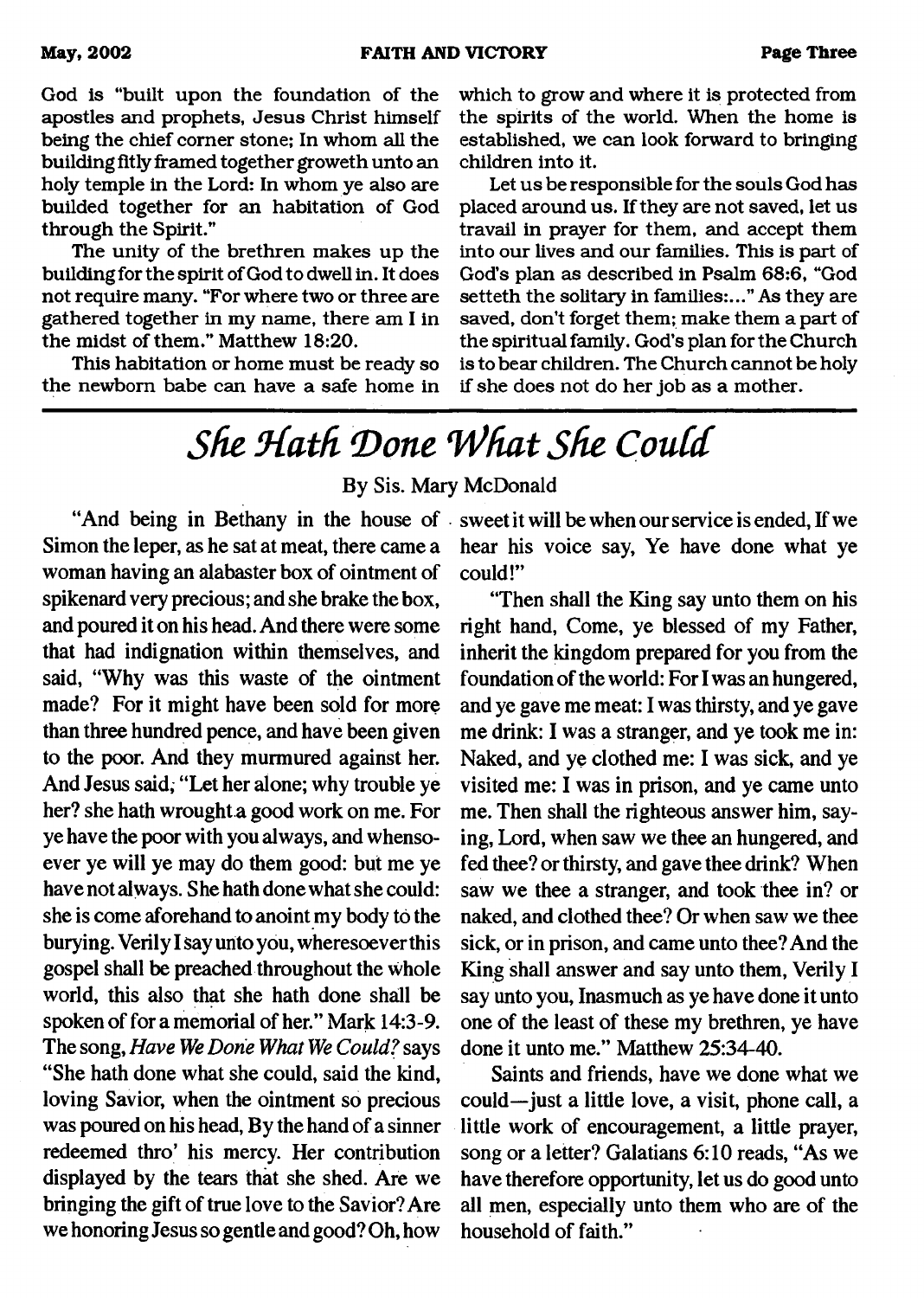God is "built upon the foundation of the apostles and prophets, Jesus Christ himself being the chief comer stone; In whom all the building fitly framed together groweth unto an holy temple in the Lord: In whom ye also are builded together for an habitation of God through the Spirit."

The unity of the brethren makes up the building for the spirit of God to dwell in. It does not require many. "For where two or three are gathered together in my name, there am I in the midst of them." Matthew 18:20.

This habitation or home must be ready so the newborn babe can have a safe home in which to grow and where it is protected from the spirits of the world. When the home is established, we can look forward to bringing children into it.

Let us be responsible for the souls God has placed around us. If they are not saved, let us travail in prayer for them, and accept them into our lives and our families. This is part of God's plan as described in Psalm 68:6, "God setteth the solitary in families:..." As they are saved, don't forget them; make them a part of the spiritual family. God's plan for the Church is to bear children. The Church cannot be holy if she does not do her job as a mother.

## <span id="page-2-0"></span>*She Hath Done What She Could*

By Sis. Mary McDonald

Simon the leper, as he sat at meat, there came a woman having an alabaster box of ointment of spikenard very precious; and she brake the box, and poured it on his head. And there were some that had indignation within themselves, and said, "Why was this waste of the ointment made? For it might have been sold for more than three hundred pence, and have been given to the poor. And they murmured against her. And Jesus said, " Let her alone; why trouble ye her? she hath wrought a good work on me. For ye have the poor with you always, and whensoever ye will ye may do them good: but me ye have not always. She hath done what she could: she is come aforehand to anoint my body to the burying. Verily I say unto you, wheresoever this gospel shall be preached throughout the whole world, this also that she hath done shall be spoken of for a memorial of her." Mark 14:3-9. The song, *Have We Done What We Could?* says " She hath done what she could, said the kind, loving Savior, when the ointment so precious was poured on his head, By the hand of a sinner redeemed thro' his mercy. Her contribution displayed by the tears that she shed. Are we bringing the gift of true love to the Savior? Are we honoring Jesus so gentle and good? Oh, how

"And being in Bethany in the house of sweet it will be when our service is ended, If we hear his voice say, Ye have done what ye could!"

> "Then shall the King say unto them on his right hand, Come, ye blessed of my Father, inherit the kingdom prepared for you from the foundation of the world: For I was an hungered, and ye gave me meat: I was thirsty, and ye gave me drink: I was a stranger, and ye took me in: Naked, and ye clothed me: I was sick, and ye visited me: I was in prison, and ye came unto me. Then shall the righteous answer him, saying, Lord, when saw we thee an hungered, and fed thee? or thirsty, and gave thee drink? When saw we thee a stranger, and took thee in? or naked, and clothed thee? Or when saw we thee sick, or in prison, and came unto thee? And the King shall answer and say unto them, Verily I say unto you, Inasmuch as ye have done it unto one of the least of these my brethren, ye have done it unto me." Matthew 25:34-40.

> Saints and friends, have we done what we could—just a little love, a visit, phone call, a little work of encouragement, a little prayer, song or a letter? Galatians 6:10 reads, "As we have therefore opportunity, let us do good unto all men, especially unto them who are of the household of faith."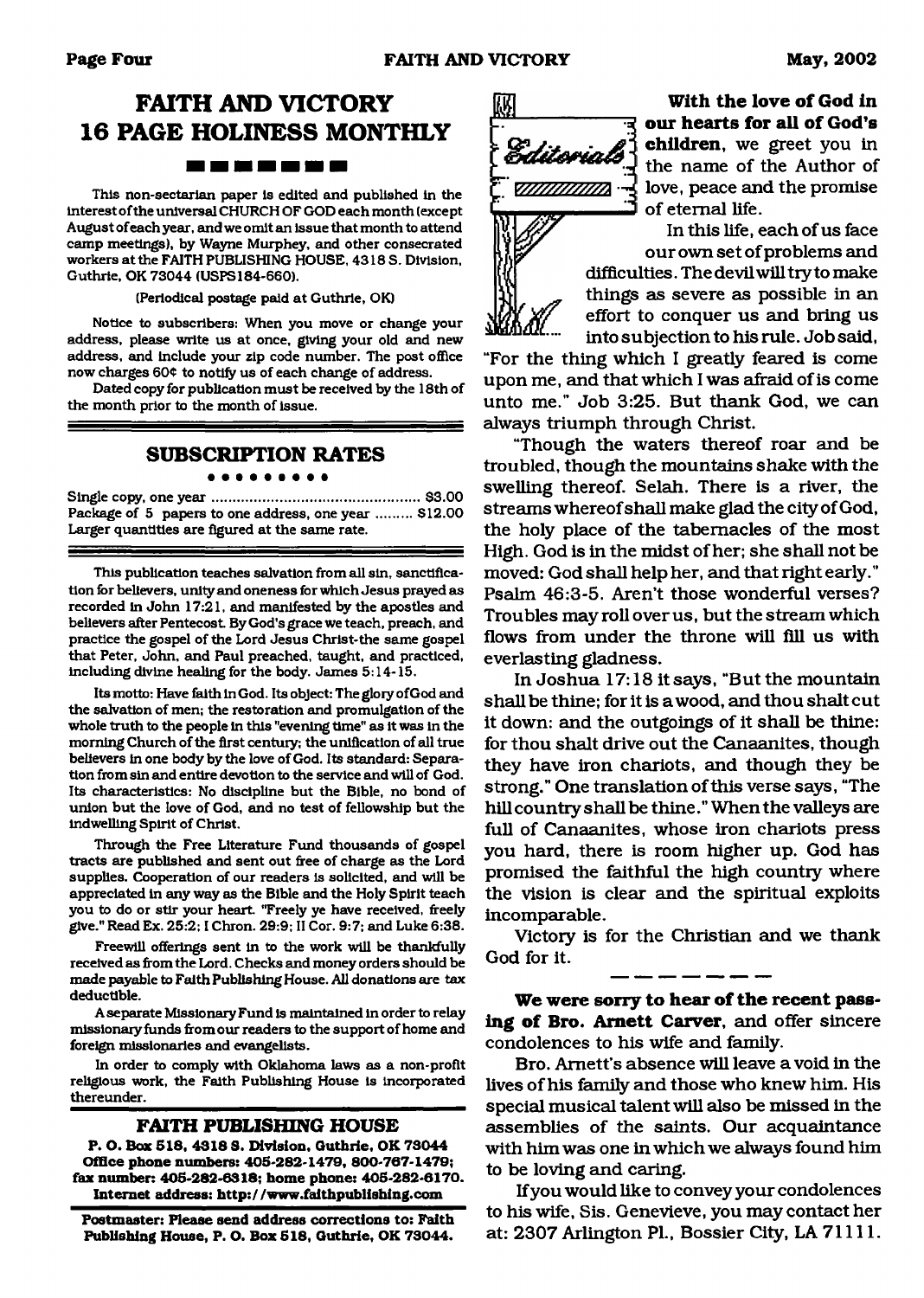### **FAITH AND VICTORY 16 PAGE HOLINESS MONTHLY** -------

This non-sectarian paper is edited and published in the interest of the universal CHURCH OF GOD each month (except August of each year, and we omit an issue that month to attend camp meetings), by Wayne Murphey, and other consecrated workers at the FAITH PUBLISHING HOUSE, 4318 S. Division, Guthrie, OK 73044 (USPS184-660).

(Periodical postage paid at Guthrie, OK)

Notice to subscribers: When you move or change your address, please write us at once, giving your old and new address, and include your zip code number. The post office now charges 604 to notify us of each change of address.

Dated copy for publication must be received by the 18th of the month prior to the month of issue.

#### **SUBSCRIPTION RATES**  $0.000000000000$

Single copy, one y e a r....................................................\$3.00 Package of 5 papers to one address, one year ......... \$12.00 Larger quantities are figured at the same rate.

This publication teaches salvation from all sin, sanctification for believers, unity and oneness for which Jesus prayed as recorded in John 17:21, and manifested by the apostles and believers after Pentecost. By God's grace we teach, preach, and practice the gospel of the Lord Jesus Christ-the same gospel that Peter, John, and Paul preached, taught, and practiced, including divine heeding for the body. James 5:14-15.

Its motto: Have faith in God. Itsobject: The glory ofGodand the salvation of men; the restoration and promulgation of the whole truth to the people in this "evening time" as it was in the morning Church of the first century; the unification of all true believers in one body by the love of God. Its standard: Separation from sin and entire devotion to the service and will of God. Its characteristics: No discipline but the Bible, no bond of union but the love of God, and no test of fellowship but the indwelling Spirit of Christ.

Through the Free Literature Fund thousands of gospel tracts are published and sent out free of charge as the Lord supplies. Cooperation of our readers is solicited, and will be appreciated in any way as the Bible and the Holy Spirit teach you to do or stir your heart "Freely ye have received, freely give." Read Ex. 25:2; I Chron. 29:9; II Cor. 9:7; and Luke 6:38.

Freewill offerings sent In to the work will be thankfully received as from the Lord. Checks and money orders should be made payable to Faith Publishing House. All donations are tax deductible.

A separate Missionary Fund is maintained in order to relay missionary funds from our readers to the support of home and foreign missionaries and evangelists.

In order to comply with Oklahoma laws as a non-profit religious work, the Faith Publishing House is incorporated thereunder.

#### **FAITH PUBLISHING HOUSE**

**P. O. Box 518, 4318 8. Division, Guthrie, OK 73044 Office phone numbers: 408-282-1479, 800-767-1479; fax number: 405-282-6318; home phone: 405-282-6170. Internet address: <http://www.falthpublishlng.com>**

**Postmaster: Please send address corrections to: Faith Publishing House, P. O. Box 518, Guthrie, OK 73044.**



**With the love of God in our hearts for all of God's children,** we greet you in the name of the Author of love, peace and the promise of eternal life.

In this life, each of us face our own set of problems and difficulties. The devil will try to make things as severe as possible in an effort to conquer us and bring us into subjection to his rule. Job said,

"For the thing which I greatly feared is come upon me, and that which I was afraid of is come unto me." Job 3:25. But thank God, we can always triumph through Christ.

"Though the waters thereof roar and be troubled, though the mountains shake with the swelling thereof. Selah. There is a river, the streams whereof shall make glad the city of God, the holy place of the tabernacles of the most High. God is in the midst of her; she shall not be moved: God shall help her, and that right early." Psalm 46:3-5. Aren't those wonderful verses? Troubles may roll over us, but the stream which flows from under the throne will fill us with everlasting gladness.

In Joshua 17:18 it says, "But the mountain shall be thine; for it is a wood, and thou shalt cut it down: and the outgoings of it shall be thine: for thou shalt drive out the Canaanites, though they have iron chariots, and though they be strong." One translation of this verse says, "The hill country shall be thine." When the valleys are full of Canaanites, whose iron chariots press you hard, there is room higher up. God has promised the faithful the high country where the vision is clear and the spiritual exploits incomparable.

Victory is for the Christian and we thank God for it.

We were sorry to hear of the recent passing of Bro. Arnett Carver, and offer sincere condolences to his wife and family.

Bro. Arnett's absence will leave a void in the lives of his family and those who knew him. His special musical talent will also be missed in the assemblies of the saints. Our acquaintance with him was one in which we always found him to be loving and caring.

If you would like to convey your condolences to his wife, Sis. Genevieve, you may contact her at: 2307 Arlington PI., Bossier City, LA 71111.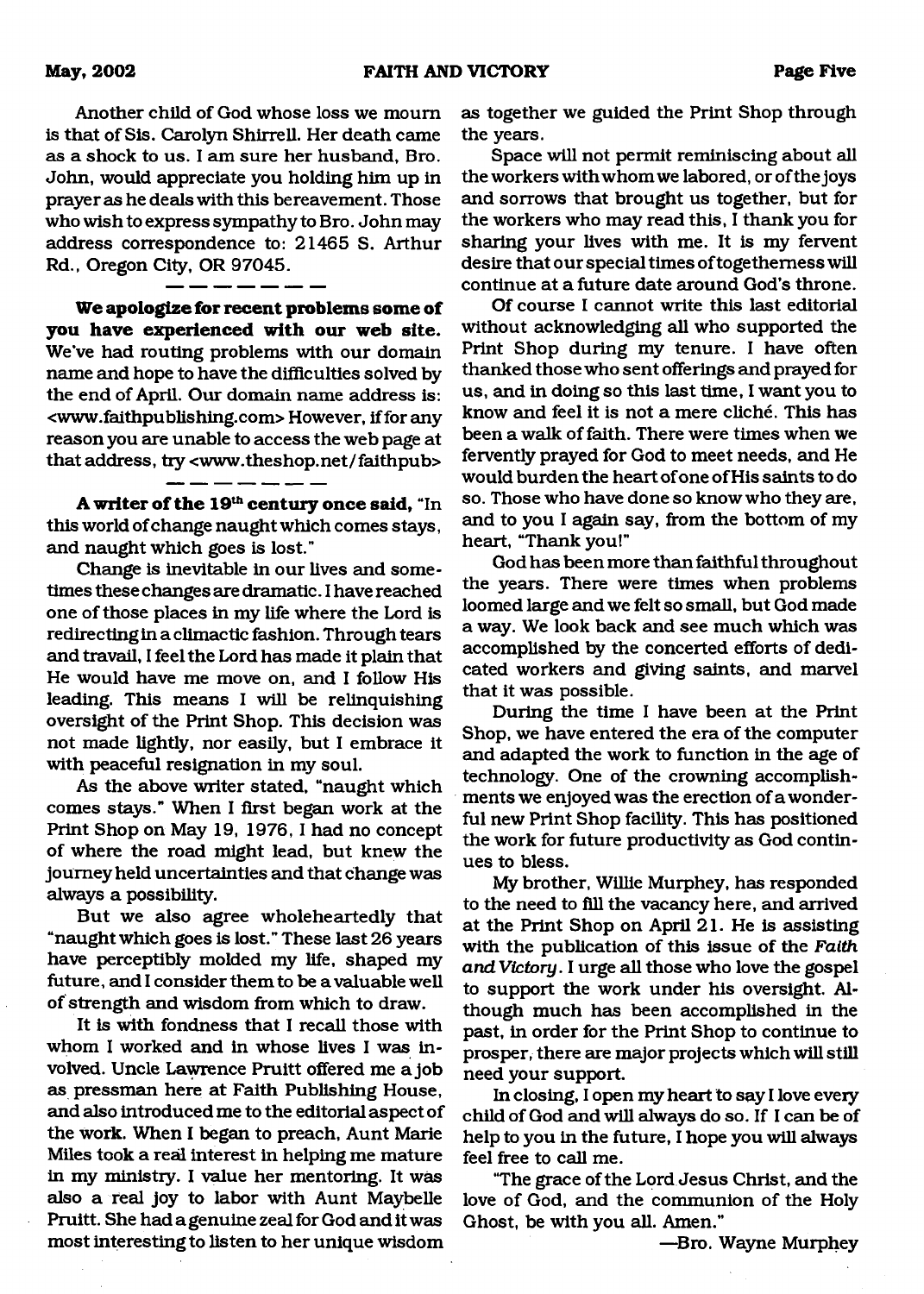Another child of God whose loss we mourn is that of Sis. Carolyn Shirrell. Her death came as a shock to us. I am sure her husband, Bro. John, would appreciate you holding him up in prayer as he deals with this bereavement. Those who wish to express sympathy to Bro. John may address correspondence to: 21465 S. Arthur Rd., Oregon City, OR 97045.

We apologize for recent problems some of **you have experienced with our web site.** We've had routing problems with our domain name and hope to have the difficulties solved by the end of April. Our domain name address is : [<www.faithpublishing.com](http://www.faithpublishing.com)> However, if for any reason you are unable to access the web page at that address, try <www.theshop.net/faithpub>

A writer of the 19<sup>th</sup> century once said, "In this world of change naught which comes stays, and naught which goes is lost."

---------

Change is inevitable in our lives and sometimes these changes are dramatic. I have reached one of those places in my life where the Lord is redirecting in a climactic fashion. Through tears and travail, I feel the Lord has made it plain that He would have me move on, and I follow His leading. This means I will be relinquishing oversight of the Print Shop. This decision was not made lightly, nor easily, but I embrace it with peaceful resignation in my soul.

As the above writer stated, "naught which comes stays." When I first began work at the Print Shop on May 19, 1976, I had no concept of where the road might lead, but knew the journey held uncertainties and that change was always a possibility.

But we also agree wholeheartedly that "naught which goes is lost." These last 26 years have perceptibly molded my life, shaped my future, and I consider them to be a valuable well of strength and wisdom from which to draw.

It is with fondness that I recall those with whom I worked and in whose lives I was involved. Uncle Lawrence Pruitt offered me a job as pressman here at Faith Publishing House, and also introduced me to the editorial aspect of the work. When I began to preach, Aunt Marie Miles took a real interest in helping me mature in my ministry. I value her mentoring. It was also a real joy to labor with Aunt Maybelle Pruitt. She had a genuine zeal for God and it was most interesting to listen to her unique wisdom

as together we guided the Print Shop through the years.

Space will not permit reminiscing about all the workers with whom we labored, or of the joys and sorrows that brought us together, but for the workers who may read this, I thank you for sharing your lives with me. It is my fervent desire that our special times of togetherness will continue at a future date around God's throne.

Of course I cannot write this last editorial without acknowledging all who supported the Print Shop during my tenure. I have often thanked those who sent offerings and prayed for us, and in doing so this last time, I want you to know and feel it is not a mere cliché. This has been a walk of faith. There were times when we fervently prayed for God to meet needs, and He would burden the heart of one of His saints to do so. Those who have done so know who they are, and to you I again say, from the bottom of my heart, "Thank you!"

God has been more than faithful throughout the years. There were times when problems loomed large and we felt so small, but God made a way. We look back and see much which was accomplished by the concerted efforts of dedicated workers and giving saints, and marvel that it was possible.

During the time I have been at the Print Shop, we have entered the era of the computer and adapted the work to function in the age of technology. One of the crowning accomplishments we enjoyed was the erection of a wonderful new Print Shop facility. This has positioned the work for future productivity as God continues to bless.

My brother, Willie Murphey, has responded to the need to fill the vacancy here, and arrived at the Print Shop on April 21. He is assisting with the publication of this issue of the *Faith and Victory.* I urge all those who love the gospel to support the work under his oversight. Although much has been accomplished in the past, in order for the Print Shop to continue to prosper, there are major projects which will still need your support.

In closing, I open my heart to say I love every child of God and will always do so. If I can be of help to you in the future, I hope you will always feel free to call me.

"The grace of the Lord Jesus Christ, and the love of God, and the communion of the Holy Ghost, be with you all. Amen."

—Bro. Wayne Murphey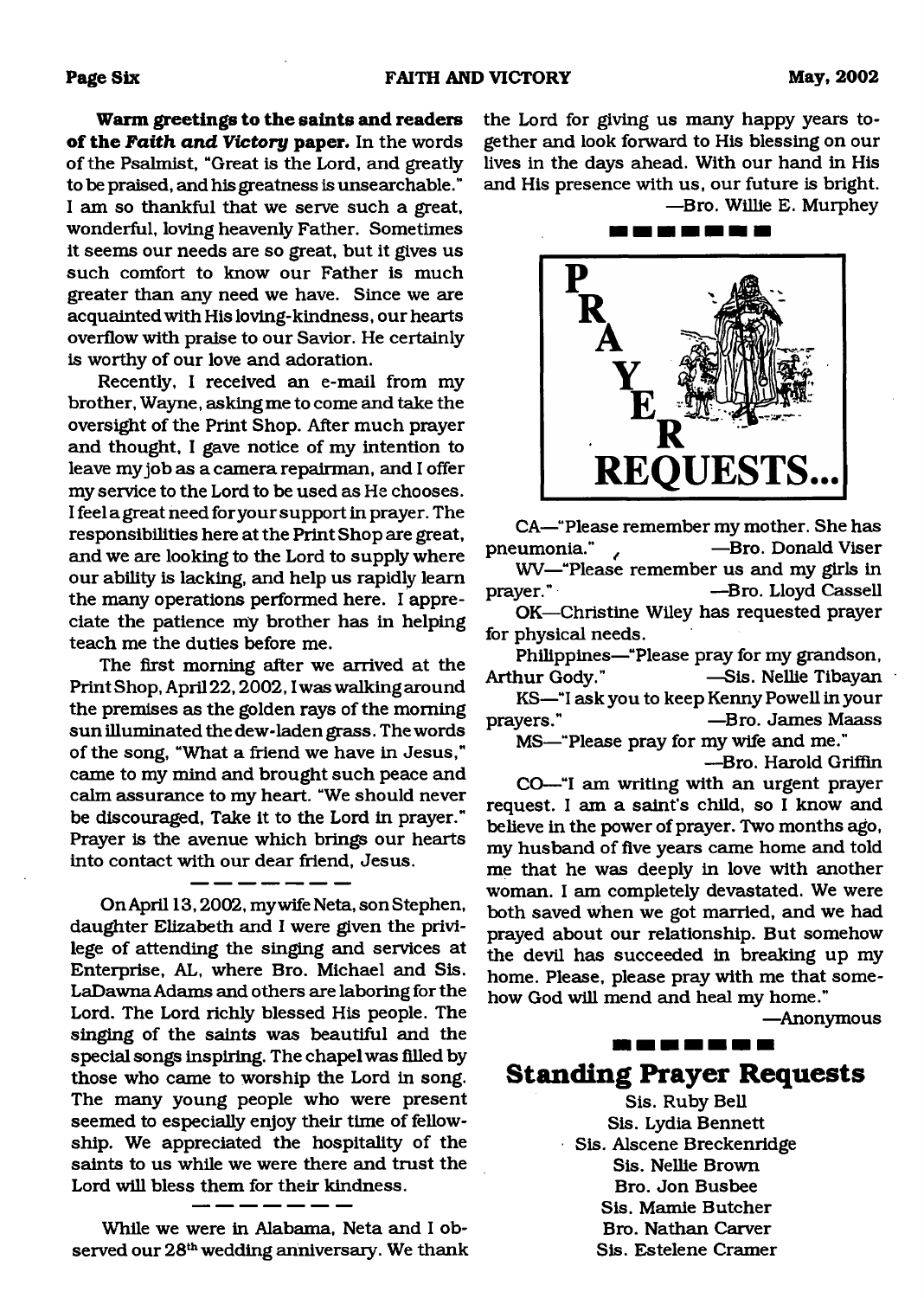**Warm greetings to the saints and readers of the Faith and Victory paper.** In the words of the Psalmist, "Great is the Lord, and greatly to be praised, and his greatness is unsearchable." I am so thankful that we serve such a great, wonderful, loving heavenly Father. Sometimes it seems our needs are so great, but it gives us such comfort to know our Father is much greater than any need we have. Since we are acquainted with His loving-kindness, our hearts overflow with praise to our Savior. He certainly is worthy of our love and adoration.

Recently, I received an e-mail from my brother, Wayne, asking me to come and take the oversight of the Print Shop. After much prayer and thought, I gave notice of my intention to leave my job as a camera repairman, and I offer my service to the Lord to be used as He chooses. I feel a great need for your support in prayer. The responsibilities here at the Print Shop are great, and we are looking to the Lord to supply where our ability is lacking, and help us rapidly learn the many operations performed here. I appreciate the patience my brother has in helping teach me the duties before me.

The first morning after we arrived at the PrintShop, April22,2002,1was walking around the premises as the golden rays of the morning sun illuminated the dew-laden grass. The words of the song, "What a friend we have in Jesus," came to my mind and brought such peace and calm assurance to my heart. "We should never be discouraged, Take it to the Lord in prayer." Prayer is the avenue which brings our hearts into contact with our dear friend, Jesus.

On April 13,2002, my wife Neta, son Stephen, daughter Elizabeth and I were given the privilege of attending the singing and services at Enterprise, AL, where Bro. Michael and Sis. LaDawna Adams and others are laboring for the Lord. The Lord richly blessed His people. The singing of the saints was beautiful and the special songs inspiring. The chapel was filled by those who came to worship the Lord in song. The many young people who were present seemed to especially enjoy their time of fellowship. We appreciated the hospitality of the saints to us while we were there and trust the Lord will bless them for their kindness.

While we were in Alabama, Neta and I observed our 28<sup>th</sup> wedding anniversary. We thank the Lord for giving us many happy years together and look forward to His blessing on our lives in the days ahead. With our hand in His and His presence with us, our future is bright. —Bro. Willie E. Murphey

> **REQUESTS**

CA—"Please remember my mother. She has pneumonia." */* —Bro. Donald Viser WV—"Please remember us and my girls in prayer." —Bro. Lloyd Cassell

OK—Christine Wiley has requested prayer for physical needs.

Philippines—"Please pray for my grandson, Arthur Gody." —Sis. Nellie Tibayan

KS—"I ask you to keep Kenny Powell in your prayers." —Bro. James Maass

MS—"Please pray for my wife and me."

—Bro. Harold Griffin

CO—"I am writing with an urgent prayer request. I am a saint's child, so I know and believe in the power of prayer. Two months ago, my husband of five years came home and told me that he was deeply in love with another woman. I am completely devastated. We were both saved when we got married, and we had prayed about our relationship. But somehow the devil has succeeded in breaking up my home. Please, please pray with me that somehow God will mend and heal my home."

—Anonymous

**Standing Prayer Requests** Sis. Ruby Bell Sis. Lydia Bennett Sis. Alscene Breckenridge Sis. Nellie Brown Bro. Jon Busbee Sis. Mamie Butcher Bro. Nathan Carver

,,,,,,,,,,,,,

Sis. Estelene Cramer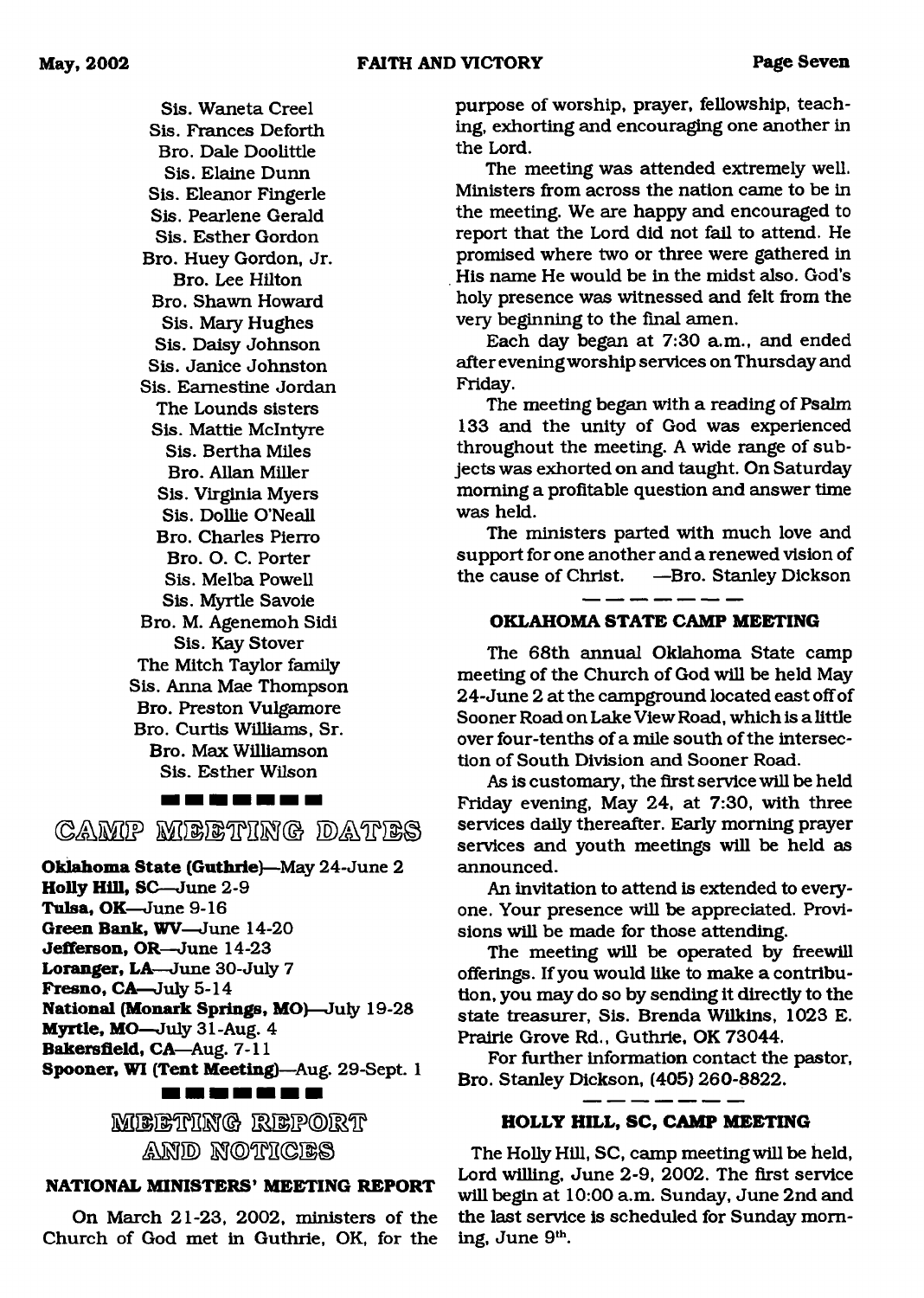Sis. Waneta Creel Sis. Frances Deforth Bro. Dale Doolittle Sis. Elaine Dunn Sis. Eleanor Fingerle Sis. Pearlene Gerald Sis. Esther Gordon Bro. Huey Gordon, Jr. Bro. Lee Hilton Bro. Shawn Howard Sis. Mary Hughes Sis. Daisy Johnson Sis. Janice Johnston Sis. Eamestine Jordan The Lounds sisters Sis. Mattie McIntyre Sis. Bertha Miles Bro. Allan Miller Sis. Virginia Myers Sis. Dollie O'Neall Bro. Charles Pierro Bro. O. C. Porter Sis. Melba Powell Sis. Myrtle Savoie Bro. M. Agenemoh Sidi Sis. Kay Stover The Mitch Taylor family Sis. Anna Mae Thompson Bro. Preston Vulgamore Bro. Curtis Williams, Sr. Bro. Max Williamson Sis. Esther Wilson

CAMP MEETRING DATES

**Oklahoma State (Guthrie)**—May 24-June 2 **Holly Hill,** SC—June 2-9 **Tulsa, OK**—June 9-16 **Green Bank, WV**—June 14-20 **Jefferson, OR**—June 14-23 **Loranger, LA**—June 30-July 7 **Fresno, CA**—July 5-14

**National (Monark Springs, MO)**—July 19-28

**Myrtle, MO**—July 31-Aug. 4

**Bakersfield, CA—Aug. 7-11 Spooner, WI (Tent Meeting)**—Aug. 29-Sept. 1

<u>na sa sa na da sa sa</u>

**SfilllMPM® empoieip MSI® S3©1PH©I1©**

#### **NATIONAL MINISTERS' MEETING REPORT**

On March 21-23, 2002, ministers of the Church of God met in Guthrie, OK, for the purpose of worship, prayer, fellowship, teaching, exhorting and encouraging one another in the Lord.

The meeting was attended extremely well. Ministers from across the nation came to be in the meeting. We are happy and encouraged to report that the Lord did not fail to attend. He promised where two or three were gathered in His name He would be in the midst also. God's holy presence was witnessed and felt from the very beginning to the final amen.

Each day began at 7:30 a.m., and ended after evening worship services on Thursday and Friday.

The meeting began with a reading of Psalm 133 and the unity of God was experienced throughout the meeting. A wide range of subjects was exhorted on and taught. On Saturday morning a profitable question and answer time was held.

The ministers parted with much love and support for one another and a renewed vision of the cause of Christ. —Bro. Stanley Dickson

#### **OKLAHOMA STATE CAMP MEETING**

The 68th annual Oklahoma State camp meeting of the Church of God will be held May 24-June 2 at the campground located east off of Sooner Road on Lake View Road, which is a little over four-tenths of a mile south of the intersection of South Division and Sooner Road.

As is customary, the first service will be held Friday evening, May 24, at 7:30, with three services daily thereafter. Early morning prayer services and youth meetings will be held as announced.

An invitation to attend is extended to everyone. Your presence will be appreciated. Provisions will be made for those attending.

The meeting will be operated by freewill offerings. If you would like to make a contribution, you may do so by sending it directly to the state treasurer, Sis. Brenda Wilkins, 1023 E. Prairie Grove Rd., Guthrie, OK 73044.

For further information contact the pastor, Bro. Stanley Dickson, (405) 260-8822.

#### **HOLLY HILL, SC, CAMP MEETING**

The Holly Hill, SC, camp meeting will be held, Lord willing, June 2-9, 2002. The first service will begin at 10:00 a.m. Sunday, June 2nd and the last service is scheduled for Sunday morning, June 9th.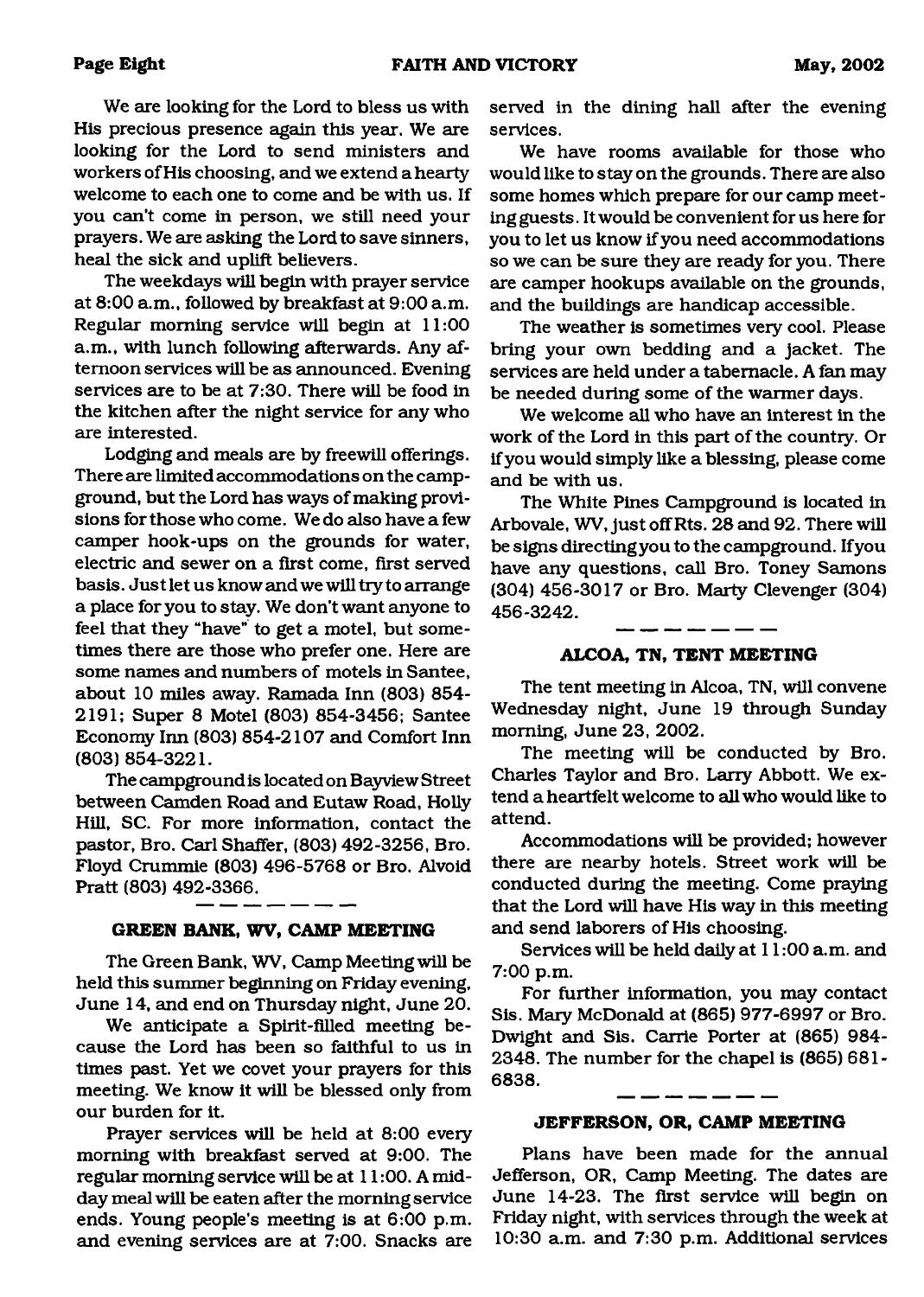We are looking for the Lord to bless us with His precious presence again this year. We are looking for the Lord to send ministers and workers of His choosing, and we extend a hearty welcome to each one to come and be with us. If you can't come in person, we still need your prayers. We are asking the Lord to save sinners, heal the sick and uplift believers.

The weekdays will begin with prayer service at 8:00 a.m., followed by breakfast at 9:00 a.m. Regular morning service will begin at 11:00 a.m., with lunch following afterwards. Any afternoon services will be as announced. Evening services are to be at 7:30. There will be food in the kitchen after the night service for any who are interested.

Lodging and meals are by freewill offerings. There are limited accommodations on the campground, but the Lord has ways of making provisions for those who come. We do also have a few camper hook-ups on the grounds for water, electric and sewer on a first come, first served basis. Just let us know and we will try to arrange a place for you to stay. We don't want anyone to feel that they "have" to get a motel, but sometimes there are those who prefer one. Here are some names and numbers of motels in Santee, about 10 miles away. Ramada Inn (803) 854- 2191; Super 8 Motel (803) 854-3456; Santee Economy Inn (803) 854-2107 and Comfort Inn (803) 854-3221.

The campground is located on Bayview Street between Camden Road and Eutaw Road, Holly Hill, SC. For more information, contact the pastor, Bro. Carl Shaffer, (803) 492-3256, Bro. Floyd Crummie (803) 496-5768 or Bro. Alvoid Pratt (803) 492-3366.

#### **GREEN BANK, WV, CAMP MEETING**

The Green Bank, WV, Camp Meeting will be held this summer beginning on Friday evening, June 14, and end on Thursday night, June 20.

We anticipate a Spirit-filled meeting because the Lord has been so faithful to us in times past. Yet we covet your prayers for this meeting. We know it will be blessed only from our burden for it.

Prayer services will be held at 8:00 every morning with breakfast served at 9:00. The regular morning service will be at 11:00. A midday meal will be eaten after the morning service ends. Young people's meeting is at 6:00 p.m. and evening services are at 7:00. Snacks are

served in the dining hall after the evening services.

We have rooms available for those who would like to stay on the grounds. There are also some homes which prepare for our camp meeting guests. It would be convenient for us here for you to let us know if you need accommodations so we can be sure they are ready for you. There are camper hookups available on the grounds, and the buildings are handicap accessible.

The weather is sometimes very cool. Please bring your own bedding and a jacket. The services are held under a tabernacle. A fan may be needed during some of the warmer days.

We welcome all who have an interest in the work of the Lord in this part of the country. Or if you would simply like a blessing, please come and be with us.

The White Pines Campground is located in Arbovale, WV, just off Rts. 28 and 92. There will be signs directing you to the campground. If you have any questions, call Bro. Toney Samons (304) 456-3017 or Bro. Marty Clevenger (304) 456-3242.

#### \_ \_\_ \_\_ \_\_ \_\_ \_\_ \_\_ **ALCOA, TN, TENT MEETING**

The tent meeting in Alcoa, TN, will convene Wednesday night, June 19 through Sunday morning, June 23, 2002.

The meeting will be conducted by Bro. Charles Taylor and Bro. Larry Abbott. We extend a heartfelt welcome to all who would like to attend.

Accommodations will be provided; however there are nearby hotels. Street work will be conducted during the meeting. Come praying that the Lord will have His way in this meeting and send laborers of His choosing.

Services will be held daily at 11:00 a.m. and 7:00 p.m.

For further information, you may contact Sis. Mary McDonald at (865) 977-6997 or Bro. Dwight and Sis. Carrie Porter at (865) 984- 2348. The number for the chapel is (865) 681- 6838.

#### **JEFFERSON, OR, CAMP MEETING**

Plans have been made for the annual Jefferson, OR, Camp Meeting. The dates are June 14-23. The first service will begin on Friday night, with services through the week at 10:30 a.m. and 7:30 p.m. Additional services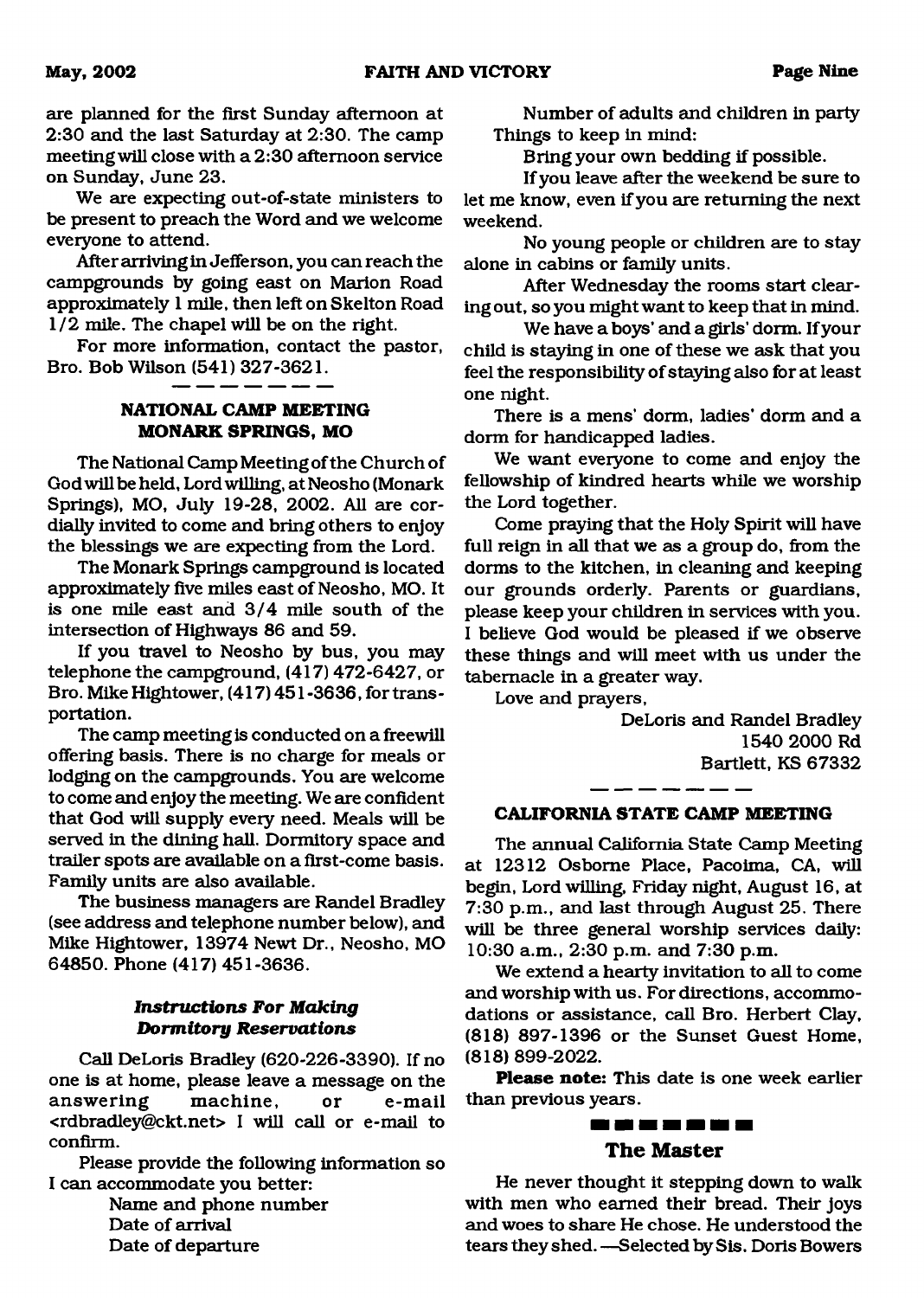are planned for the first Sunday afternoon at 2:30 and the last Saturday at 2:30. The camp meeting will close with a 2:30 afternoon service on Sunday, June 23.

We are expecting out-of-state ministers to be present to preach the Word and we welcome everyone to attend.

After arriving in Jefferson, you can reach the campgrounds by going east on Marion Road approximately 1 mile, then left on Skelton Road 1/2 mile. The chapel will be on the right.

For more information, contact the pastor, Bro. Bob Wilson (541) 327-3621.

#### **NATIONAL CAMP MEETING MONARK SPRINGS, MO**

The National Camp Meeting of the Church of Godwill be held, Lord willing, at Neosho (Monark Springs), MO, July 19-28, 2002. All are cordially invited to come and bring others to enjoy the blessings we are expecting from the Lord.

The Monark Springs campground is located approximately five miles east of Neosho, MO. It is one mile east and 3/4 mile south of the intersection of Highways 86 and 59.

If you travel to Neosho by bus, you may telephone the campground, (417) 472-6427, or Bro. Mike Hightower, (417) 451-3636, fortransportation.

The camp meeting is conducted on a freewill offering basis. There is no charge for meals or lodging on the campgrounds. You are welcome to come and enjoy the meeting. We are confident that God will supply every need. Meals will be served in the dining hall. Dormitory space and trailer spots are available on a first-come basis. Family units are also available.

The business managers are Randel Bradley (see address and telephone number below), and Mike Hightower, 13974 Newt Dr., Neosho, MO 64850. Phone (417) 451-3636.

#### *Instructions For Making Dormitory Reservations*

Call DeLoris Bradley (620-226-3390). If no one is at home, please leave a message on the answering machine, or e-mail [<rdbradley@ckt.net](mailto:rdbradley@ckt.net)> I will call or e-mail to confirm.

Please provide the following information so I can accommodate you better:

Name and phone number Date of arrival Date of departure

Number of adults and children in party Things to keep in mind:

Bring your own bedding if possible.

If you leave after the weekend be sure to let me know, even if you are returning the next weekend.

No young people or children are to stay alone in cabins or family units.

After Wednesday the rooms start clearing out, so you might want to keep that in mind.

We have a boys' and a girls' dorm. If your child is staying in one of these we ask that you feel the responsibility of staying also for at least one night.

There is a mens' dorm, ladies' dorm and a dorm for handicapped ladies.

We want everyone to come and enjoy the fellowship of kindred hearts while we worship the Lord together.

Come praying that the Holy Spirit will have full reign in all that we as a group do, from the dorms to the kitchen, in cleaning and keeping our grounds orderly. Parents or guardians, please keep your children in services with you. I believe God would be pleased if we observe these things and will meet with us under the tabernacle in a greater way.

Love and prayers,

DeLoris and Randel Bradley 1540 2000 Rd Bartlett, KS 67332

#### **CALIFORNIA STATE CAMP MEETING**

The annual California State Camp Meeting at 12312 Osborne Place, Pacoima, CA, will begin, Lord willing, Friday night, August 16, at 7:30 p.m., and last through August 25. There will be three general worship services daily: 10:30 a.m., 2:30 p.m. and 7:30 p.m.

We extend a hearty invitation to all to come and worship with us. For directions, accommodations or assistance, call Bro. Herbert Clay, (818) 897-1396 or the Sunset Guest Home, (818) 899-2022.

**Please note:** This date is one week earlier than previous years.

#### -------**The Master**

He never thought it stepping down to walk with men who earned their bread. Their joys and woes to share He chose. He understood the tears they shed. —Selected by Sis. Doris Bowers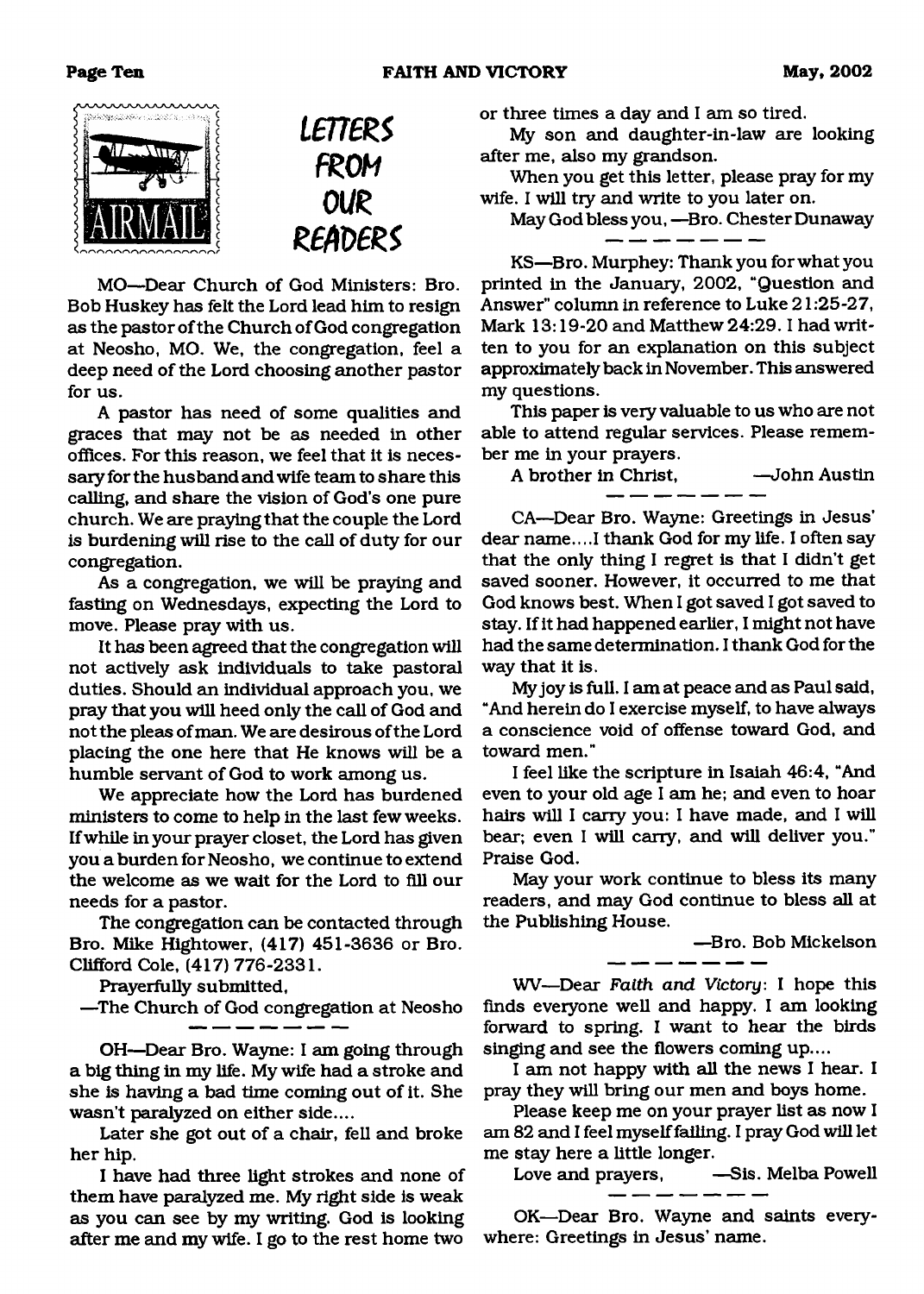#### **Page Ten 61 May, 2002 FAITH AND VICTORY May, 2002**

# naannannann .<br>Stanislavnik medicina i svo



MO—Dear Church of God Ministers: Bro. Bob Huskey has felt the Lord lead him to resign as the pastor of the Church of God congregation at Neosho, MO. We, the congregation, feel a deep need of the Lord choosing another pastor for us.

A pastor has need of some qualities and graces that may not be as needed in other offices. For this reason, we feel that it is necessary for the husband and wife team to share this calling, and share the vision of God's one pure church. We are praying that the couple the Lord is burdening will rise to the call of duty for our congregation.

As a congregation, we will be praying and fasting on Wednesdays, expecting the Lord to move. Please pray with us.

It has been agreed that the congregation will not actively ask individuals to take pastoral duties. Should an individual approach you, we pray that you will heed only the call of God and not the pleas of man. We are desirous of the Lord placing the one here that He knows will be a humble servant of God to work among us.

We appreciate how the Lord has burdened ministers to come to help in the last few weeks. If while in your prayer closet, the Lord has given you a burden for Neosho, we continue to extend the welcome as we wait for the Lord to fill our needs for a pastor.

The congregation can be contacted through Bro. Mike Hightower, (417) 451-3636 or Bro. Clifford Cole, (417) 776-2331.

Prayerfully submitted,

—The Church of God congregation at Neosho

OH—Dear Bro. Wayne: I am going through a big thing in my life. My wife had a stroke and she is having a bad time coming out of it. She wasn't paralyzed on either side....

Later she got out of a chair, fell and broke her hip.

I have had three light strokes and none of them have paralyzed me. My right side is weak as you can see by my writing. God is looking after me and my wife. I go to the rest home two

or three times a day and I am so tired.

My son and daughter-in-law are looking after me, also my grandson.

When you get this letter, please pray for my wife. I will try and write to you later on.

May God bless you, —Bro. Chester Dunaway

KS—Bro. Murphey: Thank you for what you printed in the January, 2002, "Question and Answer" column in reference to Luke 21:25-27, Mark 13:19-20 and Matthew 24:29.1 had written to you for an explanation on this subject approximately back in November. This answered my questions.

This paper is very valuable to us who are not able to attend regular services. Please remember me in your prayers.

A brother in Christ, —John Austin

CA—Dear Bro. Wayne: Greetings in Jesus' dear name... .1 thank God for my life. I often say that the only thing I regret is that I didn't get saved sooner. However, it occurred to me that God knows best. When I got saved I got saved to stay. If it had happened earlier, I might not have had the same determination. I thank God for the way that it is.

My joy is full. I am at peace and as Paul said, "And herein do I exercise myself, to have always a conscience void of offense toward God, and toward men."

I feel like the scripture in Isaiah 46:4, "And even to your old age I am he; and even to hoar hairs will I carry you: I have made, and I will bear; even I will carry, and will deliver you." Praise God.

May your work continue to bless its many readers, and may God continue to bless all at the Publishing House.

—Bro. Bob Mickelson

WV—Dear *Faith and Victory*: I hope this finds everyone well and happy. I am looking forward to spring. I want to hear the birds singing and see the flowers coming up....

I am not happy with all the news I hear. I pray they will bring our men and boys home.

Please keep me on your prayer list as now I am 82 and I feel myself failing. I pray God will let me stay here a little longer.

Love and prayers, -Sis. Melba Powell

OK—Dear Bro. Wayne and saints everywhere: Greetings in Jesus' name.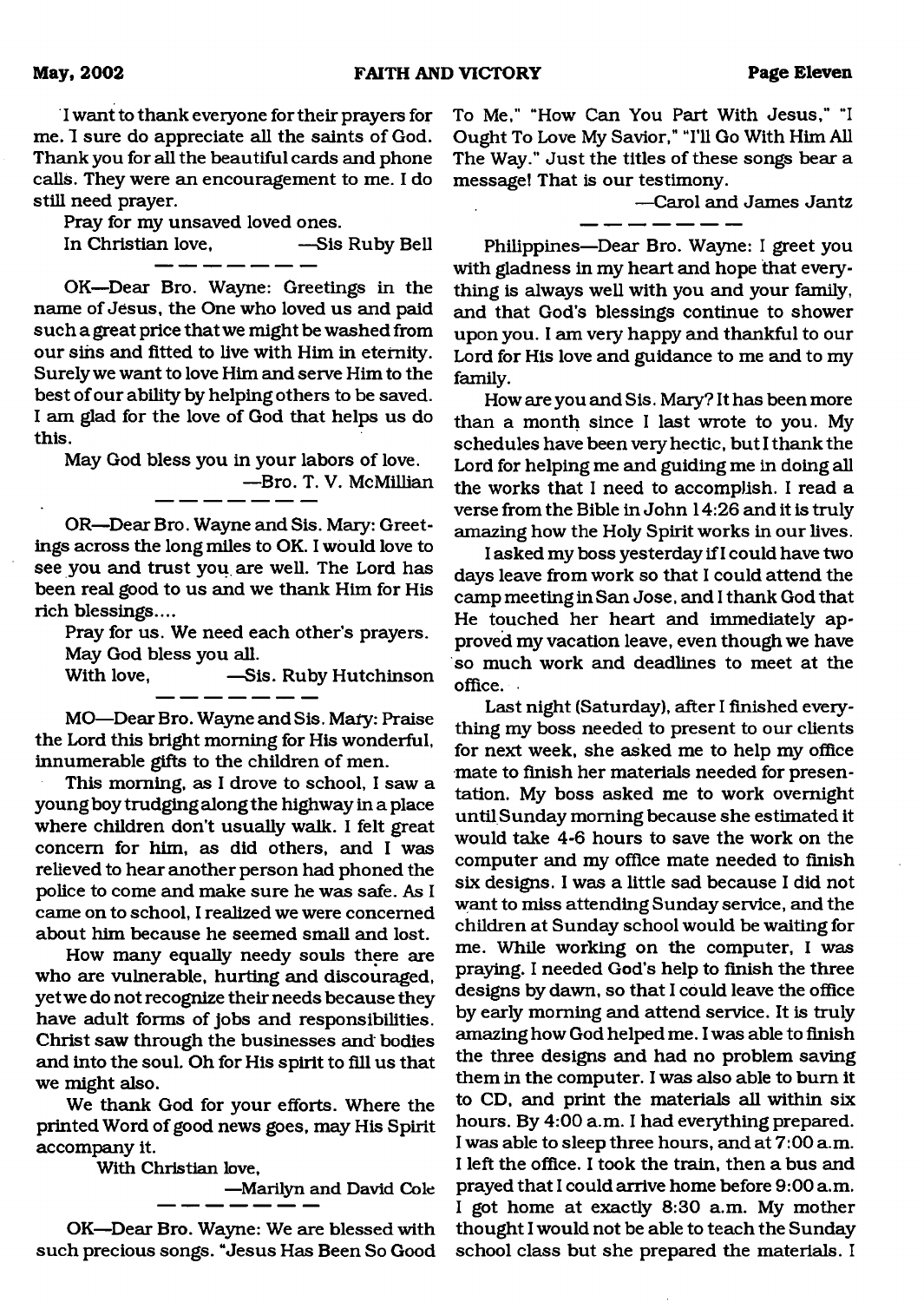I want to thank everyone for their prayers for me. 1 sure do appreciate all the saints of God. Thank you for all the beautiful cards and phone calls. They were an encouragement to me. I do still need prayer.

Pray for my unsaved loved ones.

In Christian love, —Sis Ruby Bell

OK—Dear Bro. Wayne: Greetings in the name of Jesus, the One who loved us and paid such a great price that we might be washed from our sins and fitted to live with Him in eternity. Surely we want to love Him and serve Him to the best of our ability by helping others to be saved. I am glad for the love of God that helps us do this.

May God bless you in your labors of love. —Bro. T. V. McMillian

OR—Dear Bro. Wayne and Sis. Mary: Greetings across the long miles to OK. I would love to see you and trust you are well. The Lord has been real good to us and we thank Him for His rich blessings....

Pray for us. We need each other's prayers. May God bless you all.

**-Sis. Ruby Hutchinson** 

MO-Dear Bro. Wayne and Sis. Mary: Praise the Lord this bright morning for His wonderful, innumerable gifts to the children of men.

. ... .

This morning, as I drove to school, I saw a young boy trudging along the highway in a place where children don't usually walk. I felt great concern for him, as did others, and I was relieved to hear another person had phoned the police to come and make sure he was safe. As I came on to school, I realized we were concerned about him because he seemed small and lost.

How many equally needy souls there are who are vulnerable, hurting and discouraged, yet we do not recognize their needs because they have adult forms of jobs and responsibilities. Christ saw through the businesses and bodies and into the soul. Oh for His spirit to fill us that we might also.

We thank God for your efforts. Where the printed Word of good news goes, may His Spirit accompany it.

With Christian love,

—Marilyn and David Cole

OK—Dear Bro. Wayne: We are blessed with such precious songs. "Jesus Has Been So Good To Me," "How Can You Part With Jesus," "I Ought To Love My Savior," "I'll Go With Him All The Way." Just the titles of these songs bear a message! That is our testimony.

\_ \_ \_ \_

—Carol and James Jantz

Philippines—Dear Bro. Wayne: I greet you with gladness in my heart and hope that everything is always well with you and your family, and that God's blessings continue to shower upon you. I am very happy and thankful to our Lord for His love and guidance to me and to my family.

How are you and Sis. Mary? It has been more than a month since I last wrote to you. My schedules have been very hectic, but I thank the Lord for helping me and guiding me in doing all the works that I need to accomplish. I read a verse from the Bible in John 14:26 and it is truly amazing how the Holy Spirit works in our lives.

I asked my boss yesterday if I could have two days leave from work so that I could attend the camp meeting in San Jose, and I thank God that He touched her heart and immediately approved my vacation leave, even though we have so much work and deadlines to meet at the office.

Last night (Saturday), after I finished everything my boss needed to present to our clients for next week, she asked me to help my office mate to finish her materials needed for presentation. My boss asked me to work overnight until Sunday morning because she estimated it would take 4-6 hours to save the work on the computer and my office mate needed to finish six designs. I was a little sad because I did not want to miss attending Sunday service, and the children at Sunday school would be waiting for me. While working on the computer, I was praying. I needed God's help to finish the three designs by dawn, so that I could leave the office by early morning and attend service. It is truly amazing how God helped me. I was able to finish the three designs and had no problem saving them in the computer. I was also able to bum it to CD, and print the materials all within six hours. By 4:00 a.m. I had everything prepared. I was able to sleep three hours, and at 7:00 a.m. I left the office. I took the train, then a bus and prayed that I could arrive home before 9:00 a.m. I got home at exactly 8:30 a.m. My mother thought I would not be able to teach the Sunday school class but she prepared the materials. I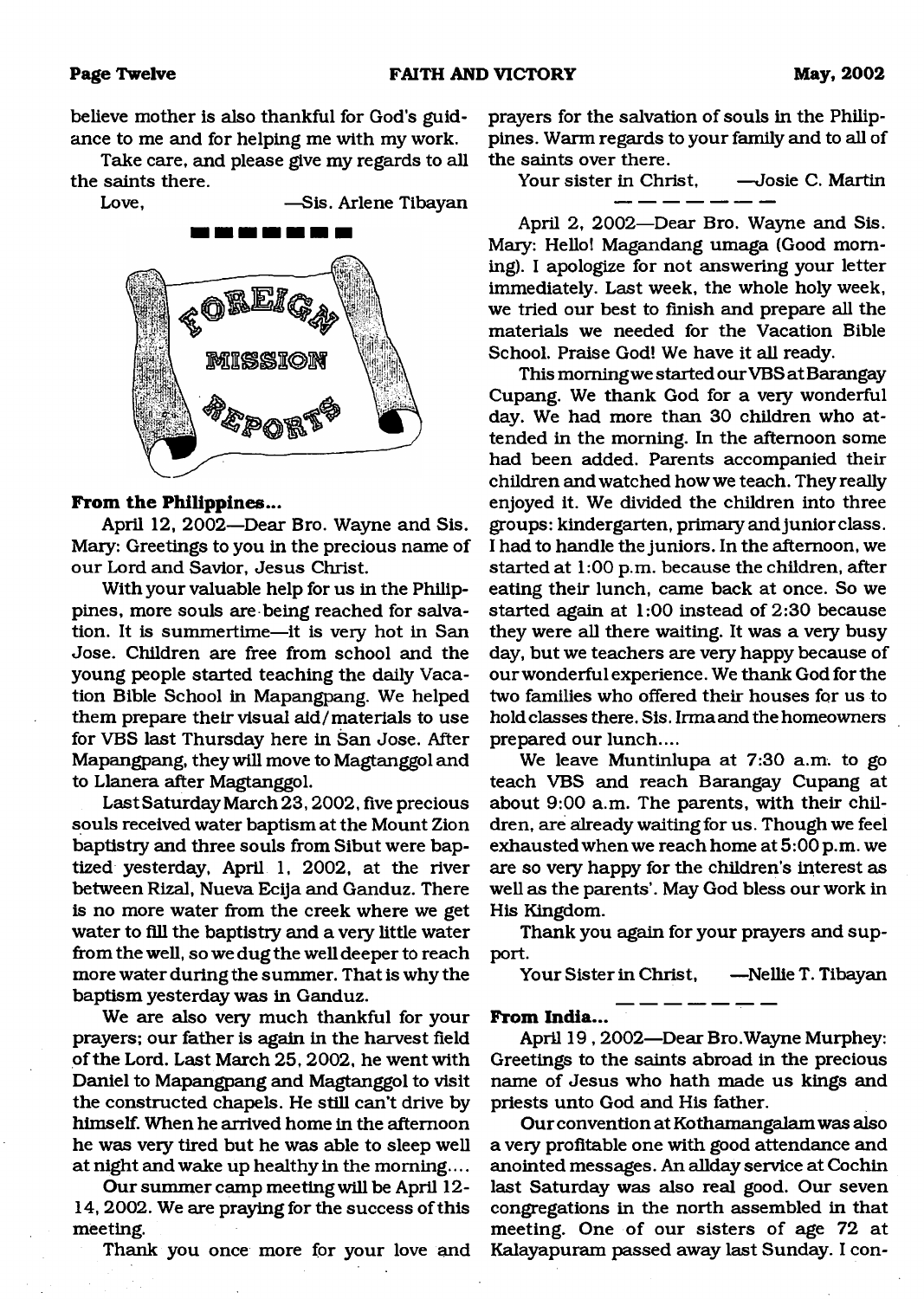believe mother is also thankful for God's guidance to me and for helping me with my work.

Take care, and please give my regards to all the saints there.

Love, —Sis. Arlene Tibayan



#### **From the Philippines...**

April 12, 2002—Dear Bro. Wayne and Sis. Mary: Greetings to you in the precious name of our Lord and Savior, Jesus Christ.

With your valuable help for us in the Philippines, more souls are being reached for salvation. It is summertime—it is very hot in San Jose. Children are free from school and the young people started teaching the daily Vacation Bible School in Mapangpang. We helped them prepare their visual aid/materials to use for VBS last Thursday here in San Jose. After Mapangpang, they will move to Magtanggol and to Llanera after Magtanggol.

Last Saturday March 23,2002, five precious souls received water baptism at the Mount Zion baptistry and three souls from Sibut were baptized yesterday, April 1, 2002, at the river between Rizal, Nueva Ecija and Ganduz. There is no more water from the creek where we get water to fill the baptistry and a very little water from the well, so we dug the well deeper to reach more water during the summer. That is why the baptism yesterday was in Ganduz.

We are also very much thankful for your prayers; our father is again in the harvest field of the Lord. Last March 25, 2002, he went with Daniel to Mapangpang and Magtanggol to visit the constructed chapels. He still can't drive by himself. When he arrived home in the afternoon he was very tired but he was able to sleep well at night and wake up healthy in the morning....

Our summer camp meeting will be April 12- 14, 2002. We are praying for the success of this meeting.

Thank you once more for your love and

prayers for the salvation of souls in the Philippines. Warm regards to your family and to all of the saints over there.

Your sister in Christ. — Josie C. Martin

April 2, 2002—Dear Bro. Wayne and Sis. Mary: Hello! Magandang umaga (Good morning). I apologize for not answering your letter immediately. Last week, the whole holy week, we tried our best to finish and prepare all the materials we needed for the Vacation Bible School. Praise God! We have it all ready.

This morning we started our VBS at Barangay Cupang. We thank God for a very wonderful day. We had more than 30 children who attended in the morning. In the afternoon some had been added. Parents accompanied their children and watched how we teach. They really enjoyed it. We divided the children into three groups: kindergarten, primary and junior class. I had to handle the juniors. In the afternoon, we started at 1:00 p.m. because the children, after eating their lunch, came back at once. So we started again at 1:00 instead of 2:30 because they were all there waiting. It was a very busy day, but we teachers are very happy because of our wonderful experience. We thank God for the two families who offered their houses for us to hold classes there. Sis. Irma and the homeowners prepared our lunch....

We leave Muntinlupa at 7:30 a.m. to go teach VBS and reach Barangay Cupang at about 9:00 a.m. The parents, with their children, are already waiting for us. Though we feel exhausted when we reach home at 5:00 p.m. we are so very happy for the children's interest as well as the parents'. May God bless our work in His Kingdom.

Thank you again for your prayers and support.

Your Sister in Christ, —Nellie T. Tibayan

**From India...**

April 19,2002—Dear Bro.Wayne Murphey: Greetings to the saints abroad in the precious name of Jesus who hath made us kings and priests unto God and His father.

Our convention at Kothamangalam was also a very profitable one with good attendance and anointed messages. An allday service at Cochin last Saturday was also real good. Our seven congregations in the north assembled in that meeting. One of our sisters of age 72 at Kalayapuram passed away last Sunday. I con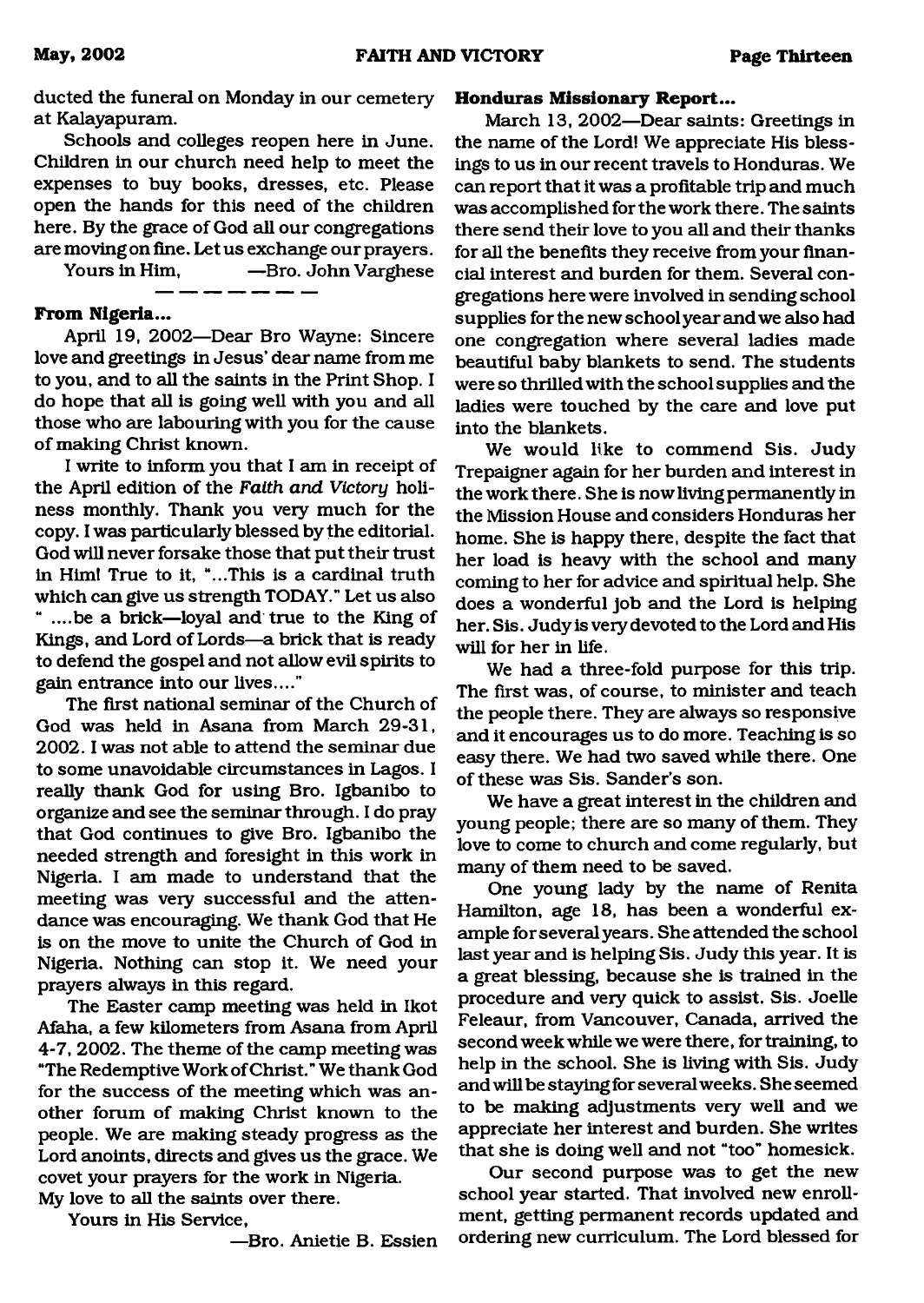ducted the funeral on Monday in our cemetery at Kalayapuram.

Schools and colleges reopen here in June. Children in our church need help to meet the expenses to buy books, dresses, etc. Please open the hands for this need of the children here. By the grace of God all our congregations are moving on fine. Let us exchange our prayers.

Yours in Him, —Bro. John Varghese

#### **From Nigeria...**

April 19, 2002—Dear Bro Wayne: Sincere love and greetings in Jesus' dear name from me to you, and to all the saints in the Print Shop. I do hope that all is going well with you and all those who are labouring with you for the cause of making Christ known.

I write to inform you that I am in receipt of the April edition of the *Faith and Victory* holiness monthly. Thank you very much for the copy. I was particularly blessed by the editorial. God will never forsake those that put their trust in Him! True to it, "...This is a cardinal truth which can give us strength TODAY." Let us also " ....be a brick—loyal and true to the King of Kings, and Lord of Lords—a brick that is ready to defend the gospel and not allow evil spirits to gain entrance into our lives...."

The first national seminar of the Church of God was held in Asana from March 29-31. 2002.1 was not able to attend the seminar due to some unavoidable circumstances in Lagos. I really thank God for using Bro. Igbanibo to organize and see the seminar through. I do pray that God continues to give Bro. Igbanibo the needed strength and foresight in this work in Nigeria. I am made to understand that the meeting was very successful and the attendance was encouraging. We thank God that He is on the move to unite the Church of God in Nigeria. Nothing can stop it. We need your prayers always in this regard.

The Easter camp meeting was held in Ikot Afaha, a few kilometers from Asana from April 4-7, 2002. The theme of the camp meeting was "The Redemptive Work of Christ." We thank God for the success of the meeting which was another forum of making Christ known to the people. We are making steady progress as the Lord anoints, directs and gives us the grace. We covet your prayers for the work in Nigeria. My love to all the saints over there.

Yours in His Service,

—Bro. Anietie B. Essien

#### **Honduras Missionary Report...**

March 13, 2002—Dear saints: Greetings in the name of the Lord! We appreciate His blessings to us in our recent travels to Honduras. We can report that it was a profitable trip and much was accomplished for the work there. The saints there send their love to you all and their thanks for all the benefits they receive from your financial interest and burden for them. Several congregations here were involved in sending school supplies for the new school year and we also had one congregation where several ladies made beautiful baby blankets to send. The students were so thrilled with the school supplies and the ladies were touched by the care and love put into the blankets.

We would like to commend Sis. Judy Trepaigner again for her burden and interest in the work there. She is now living permanently in the Mission House and considers Honduras her home. She is happy there, despite the fact that her load is heavy with the school and many coming to her for advice and spiritual help. She does a wonderful job and the Lord is helping her. Sis. Judy is very devoted to the Lord and His will for her in life.

We had a three-fold purpose for this trip. The first was, of course, to minister and teach the people there. They are always so responsive and it encourages us to do more. Teaching is so easy there. We had two saved while there. One of these was Sis. Sander's son.

We have a great interest in the children and young people; there are so many of them. They love to come to church and come regularly, but many of them need to be saved.

One young lady by the name of Renita Hamilton, age 18, has been a wonderful example for several years. She attended the school last year and is helping Sis. Judy this year. It is a great blessing, because she is trained in the procedure and very quick to assist. Sis. Joelle Feleaur, from Vancouver, Canada, arrived the second week while we were there, for training, to help in the school. She is living with Sis. Judy and will be stayingfor several weeks. She seemed to be making adjustments very well and we appreciate her interest and burden. She writes that she is doing well and not "too" homesick.

Our second purpose was to get the new school year started. That involved new enrollment, getting permanent records updated and ordering new curriculum. The Lord blessed for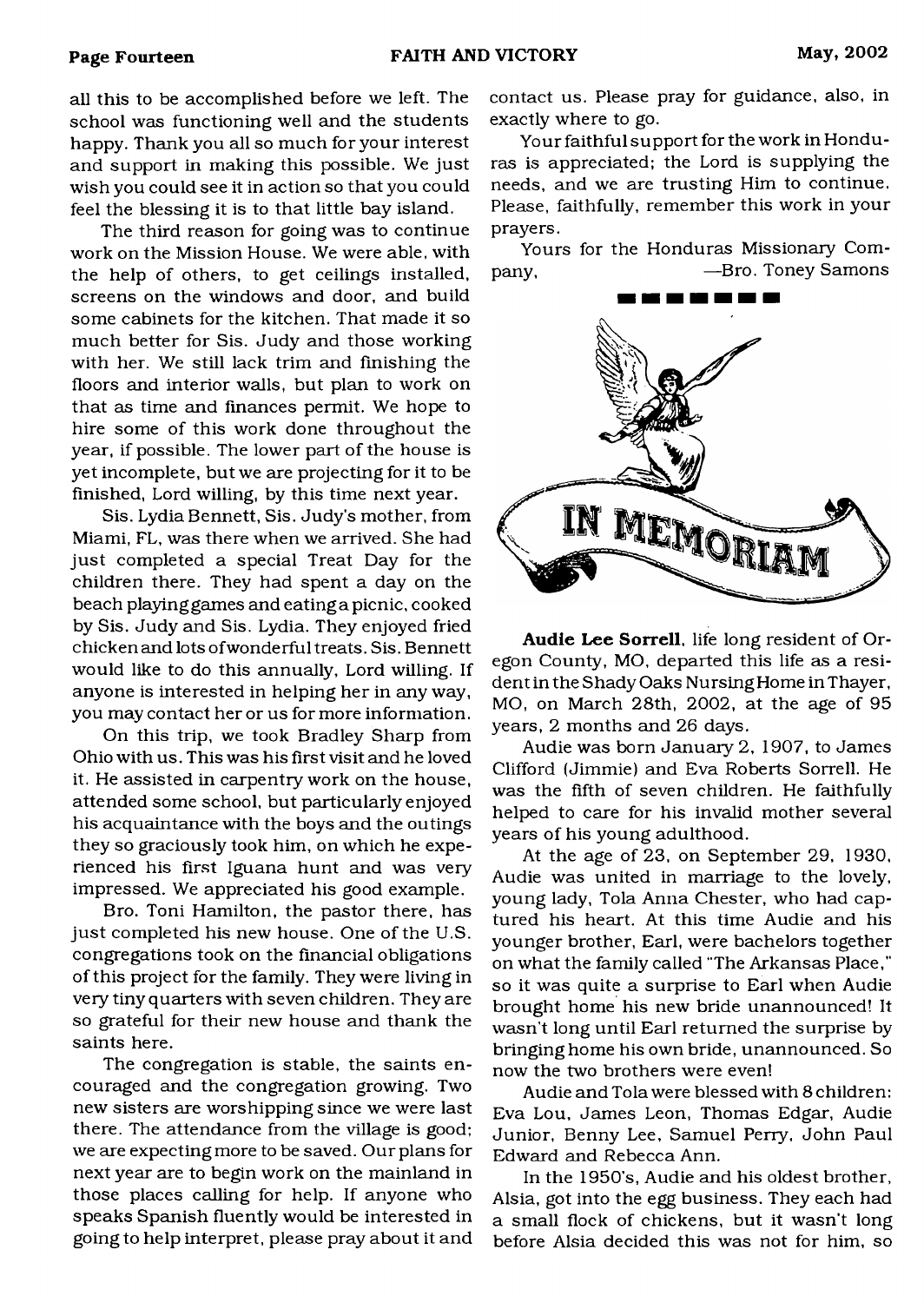ail this to be accomplished before we left. The school was functioning well and the students happy. Thank you all so much for your interest and support in making this possible. We just wish you could see it in action so that you could feel the blessing it is to that little bay island.

The third reason for going was to continue work on the Mission House. We were able, with the help of others, to get ceilings installed, screens on the windows and door, and build some cabinets for the kitchen. That made it so much better for Sis. Judy and those working with her. We still lack trim and finishing the floors and interior walls, but plan to work on that as time and finances permit. We hope to hire some of this work done throughout the year, if possible. The lower part of the house is yet incomplete, but we are projecting for it to be finished, Lord willing, by this time next year.

Sis. Lydia Bennett, Sis. Judy's mother, from Miami, FL, was there when we arrived. She had just completed a special Treat Day for the children there. They had spent a day on the beach playing games and eating a picnic, cooked by Sis. Judy and Sis. Lydia. They enjoyed fried chickenand lots ofwonderful treats. Sis. Bennett would like to do this annually, Lord willing. If anyone is interested in helping her in any way, you may contact her or us for more information.

On this trip, we took Bradley Sharp from Ohio with us. This was his first visit and he loved it. He assisted in carpentry work on the house, attended some school, but particularly enjoyed his acquaintance with the boys and the outings they so graciously took him, on which he experienced his first Iguana hunt and was very impressed. We appreciated his good example.

Bro. Toni Hamilton, the pastor there, has just completed his new house. One of the U.S. congregations took on the financial obligations of this project for the family. They were living in very tiny quarters with seven children. They are so grateful for their new house and thank the saints here.

The congregation is stable, the saints encouraged and the congregation growing. Two new sisters are worshipping since we were last there. The attendance from the village is good; we are expecting more to be saved. Our plans for next year are to begin work on the mainland in those places calling for help. If anyone who speaks Spanish fluently would be interested in going to help interpret, please pray about it and contact us. Please pray for guidance, also, in exactly where to go.

Your faithful support for the work in Honduras is appreciated; the Lord is supplying the needs, and we are trusting Him to continue. Please, faithfully, remember this work in your prayers.

Yours for the Honduras Missionary Company, **—Bro. Toney Samons** 



Audie Lee Sorrell, life long resident of Oregon County, MO, departed this life as a resident in the Shady Oaks Nursing Home in Thayer, MO, on March 28th, 2002, at the age of 95 years, 2 months and 26 days.

Audie was born January 2, 1907, to James Clifford (Jimmie) and Eva Roberts Sorrell. He was the fifth of seven children. He faithfully helped to care for his invalid mother several years of his young adulthood.

At the age of 23, on September 29, 1930, Audie was united in marriage to the lovely, young lady, Tola Anna Chester, who had captured his heart. At this time Audie and his younger brother, Earl, were bachelors together on what the family called "The Arkansas Place," so it was quite a surprise to Earl when Audie brought home his new bride unannounced! It wasn't long until Earl returned the surprise by bringing home his own bride, unannounced. So now the two brothers were even!

Audie and Tola were blessed with 8 children; Eva Lou, James Leon, Thomas Edgar, Audie Junior, Benny Lee, Samuel Perry, John Paul Edward and Rebecca Ann.

In the 1950's, Audie and his oldest brother, Alsia, got into the egg business. They each had a small flock of chickens, but it wasn't long before Alsia decided this was not for him, so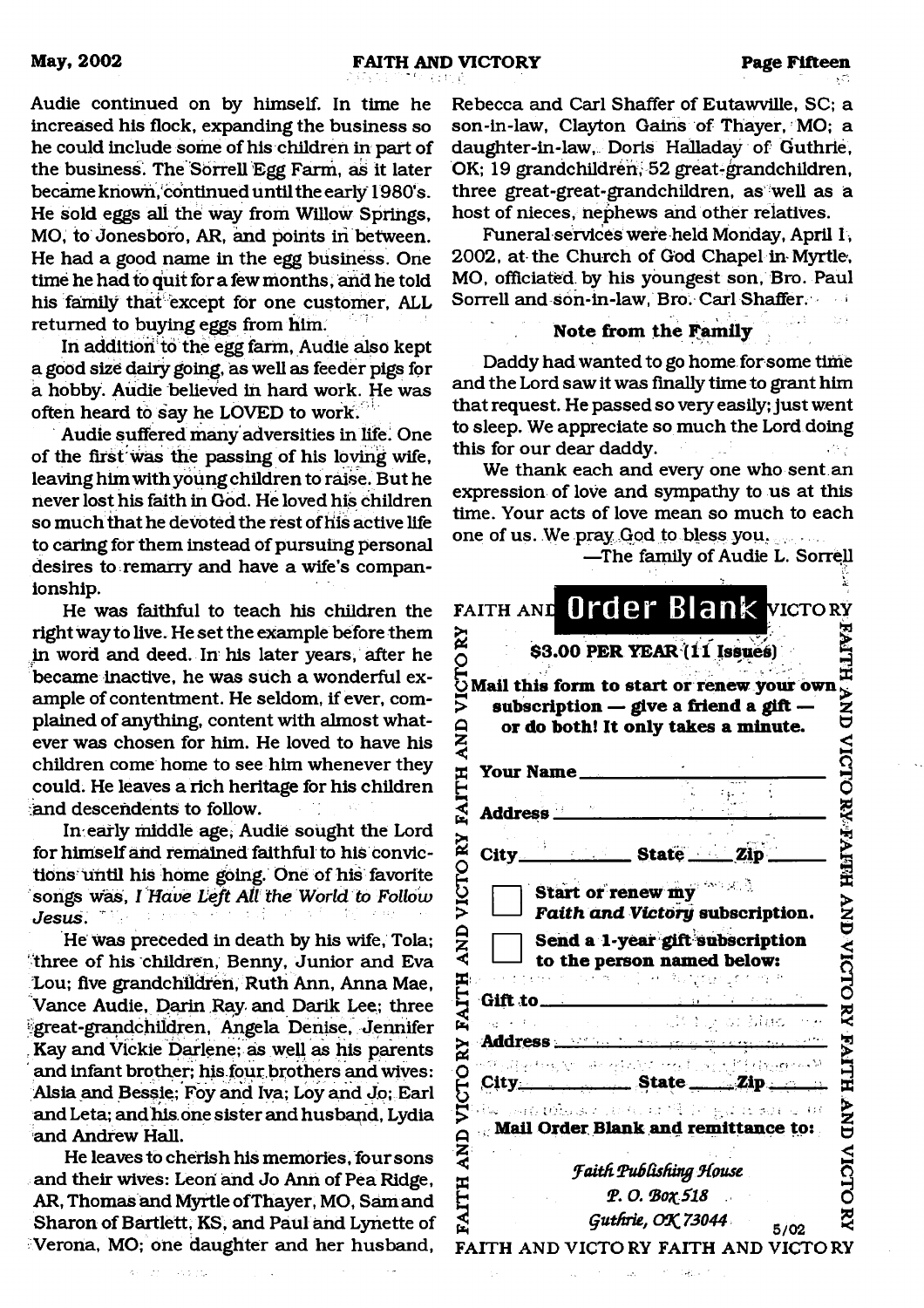Audie continued on by himself. In time he increased his flock, expanding the business so he could include some of his children in part of the business. The Sorrell Egg Farm, as it later became known, continueduntil the early 1980's. He sold eggs all the way from Willow Springs, MO, to Jonesboro, AR, and points in between. He had a good name in the egg business. One time he had to quit for a few months, and he told his family that except for one customer, ALL returned to buying eggs from him.

In addition to the egg farm, Audie also kept a good size dairy going, as well as feeder pigs for a hobby. Audie believed in hard work. He was often heard to say he LOVED to work.

Audie suffered many adversities in life; One of the first was the passing of his loving wife, leaving him with young children to raise. But he never lost his faith in God. He loved his children so much that he devoted the rest of his active life to caring for them instead of pursuing personal desires to remarry and have a wife's companionship.

He was faithful to teach his children the right way to live. He set the example before them in word and deed. In his later years, after he became inactive, he was such a wonderful example of contentment. He seldom, if ever, complained of anything, content with almost whatever was chosen for him. He loved to have his children come home to see him whenever they could. He leaves a rich heritage for his children and descendents to follow.

In early middle age, Audie sought the Lord for himself and remained faithful to his convictions until his home going. One of his favorite songs was, *I Have Left Ail the World to Follow Jesus.*

He was preceded in death by his wife, Tola; three of his children, Benny, Junior and Eva Lou; five grandchildren, Ruth Ann, Anna Mae, Vance Audie, Darin Ray and Darik Lee; three ^great-grandchildren, Angela Denise, Jennifer Kay and Vickie Darlene; as well as his parents and infant brother; his four brothers and wives: Alsia and Bessie; Foy and Iva; Loy and Jo; Earl andLeta; and his. one sister and husband, Lydia and Andrew Hall.

He leaves to cherish his memories, four sons and their wives: Leon and Jo Ann of Pea Ridge, AR, Thomas and Myrtle ofThayer, MO, Sam and Sharon of Bartlett, KS , and Paul and Lynette of Verona, MO; one daughter and her husband,

Rebecca and Carl Shaffer of Eutawville, SC; a son-in-law, Clayton Gains of Thayer, MO; a daughter-in-law, Doris Halladay of Guthrie, OK; 19 grandchildren, 52 great-grandchildren, three great-great-grandchildren, as well as a host of nieces, nephews and other relatives.

Funeral services were held Monday, April 1, 2002, at the Church of God Chapel in Myrtle, MO, officiated, by his youngest son, Bro. Paul Sorrell and son-in-law, Bro. Carl Shaffer.

#### **Note from the Family**

Daddy had wanted to go home for some time and the Lord saw it was finally time to grant him that request. He passed so very easily; just went to sleep. We appreciate so much the Lord doing this for our dear daddy.

We thank each and every one who sent an expression of love and sympathy to us at this time. Your acts of love mean so much to each one of us. We pray God to bless you.

—The family of Audie L. Sorrell

| FAITH AND Order Blank VICTORY<br>য়<br>\$3.00 PER YEAR (11 Issues)<br>C<br>Mail this form to start or renew your own<br>メスフ<br>subscription - give a friend a gift -<br>or do both! It only takes a minute.<br><b>ANL</b><br>NICIA<br><b>Your Name</b><br><b>RANDAN AN</b><br><b>Address</b><br>_______ State _______ Zip<br>City_<br>VICTO<br><b>Start or renew my</b><br>Faith and Victory subscription.<br>AND<br>Send a 1-year gift subscription<br>VICTO<br>to the person named below:<br>ITH<br>かいりょう きょうか<br>Gift to have a series of the series of the series of the series of the series of the series of the series of the series of the series of the series of the series of the series of the series of the series of the series of t<br>$\bar{\mathbf{z}}$<br>$\mathcal{L}^{\mathcal{A}}(\mathcal{A})=\mathcal{L}^{\mathcal{A}}_{\mathcal{A}}(\mathcal{A})\mathcal{L}^{\mathcal{A}}_{\mathcal{A}}(\mathcal{A})$<br>si Mac.<br><b>FAITH</b><br>Address <b>Manual Communication</b><br>.<br>Politika tekste od artističnih starih političar sa M<br>VICTO<br>$City$ State $Zip$<br><b>AND</b><br>ive party $\omega$ because the contribution of $\omega$ and $\omega$ and<br>Mail Order Blank and remittance to:<br><b>Faith Publishing House</b> |               |
|---------------------------------------------------------------------------------------------------------------------------------------------------------------------------------------------------------------------------------------------------------------------------------------------------------------------------------------------------------------------------------------------------------------------------------------------------------------------------------------------------------------------------------------------------------------------------------------------------------------------------------------------------------------------------------------------------------------------------------------------------------------------------------------------------------------------------------------------------------------------------------------------------------------------------------------------------------------------------------------------------------------------------------------------------------------------------------------------------------------------------------------------------------------------------------------------------------------------------------------------------------------|---------------|
|                                                                                                                                                                                                                                                                                                                                                                                                                                                                                                                                                                                                                                                                                                                                                                                                                                                                                                                                                                                                                                                                                                                                                                                                                                                               |               |
| <b>FAITH</b><br>RY<br>$\mathbf{F}$<br>Ř                                                                                                                                                                                                                                                                                                                                                                                                                                                                                                                                                                                                                                                                                                                                                                                                                                                                                                                                                                                                                                                                                                                                                                                                                       |               |
|                                                                                                                                                                                                                                                                                                                                                                                                                                                                                                                                                                                                                                                                                                                                                                                                                                                                                                                                                                                                                                                                                                                                                                                                                                                               |               |
|                                                                                                                                                                                                                                                                                                                                                                                                                                                                                                                                                                                                                                                                                                                                                                                                                                                                                                                                                                                                                                                                                                                                                                                                                                                               |               |
|                                                                                                                                                                                                                                                                                                                                                                                                                                                                                                                                                                                                                                                                                                                                                                                                                                                                                                                                                                                                                                                                                                                                                                                                                                                               |               |
|                                                                                                                                                                                                                                                                                                                                                                                                                                                                                                                                                                                                                                                                                                                                                                                                                                                                                                                                                                                                                                                                                                                                                                                                                                                               |               |
|                                                                                                                                                                                                                                                                                                                                                                                                                                                                                                                                                                                                                                                                                                                                                                                                                                                                                                                                                                                                                                                                                                                                                                                                                                                               |               |
|                                                                                                                                                                                                                                                                                                                                                                                                                                                                                                                                                                                                                                                                                                                                                                                                                                                                                                                                                                                                                                                                                                                                                                                                                                                               |               |
|                                                                                                                                                                                                                                                                                                                                                                                                                                                                                                                                                                                                                                                                                                                                                                                                                                                                                                                                                                                                                                                                                                                                                                                                                                                               |               |
|                                                                                                                                                                                                                                                                                                                                                                                                                                                                                                                                                                                                                                                                                                                                                                                                                                                                                                                                                                                                                                                                                                                                                                                                                                                               |               |
|                                                                                                                                                                                                                                                                                                                                                                                                                                                                                                                                                                                                                                                                                                                                                                                                                                                                                                                                                                                                                                                                                                                                                                                                                                                               |               |
|                                                                                                                                                                                                                                                                                                                                                                                                                                                                                                                                                                                                                                                                                                                                                                                                                                                                                                                                                                                                                                                                                                                                                                                                                                                               |               |
|                                                                                                                                                                                                                                                                                                                                                                                                                                                                                                                                                                                                                                                                                                                                                                                                                                                                                                                                                                                                                                                                                                                                                                                                                                                               |               |
|                                                                                                                                                                                                                                                                                                                                                                                                                                                                                                                                                                                                                                                                                                                                                                                                                                                                                                                                                                                                                                                                                                                                                                                                                                                               |               |
|                                                                                                                                                                                                                                                                                                                                                                                                                                                                                                                                                                                                                                                                                                                                                                                                                                                                                                                                                                                                                                                                                                                                                                                                                                                               |               |
|                                                                                                                                                                                                                                                                                                                                                                                                                                                                                                                                                                                                                                                                                                                                                                                                                                                                                                                                                                                                                                                                                                                                                                                                                                                               |               |
|                                                                                                                                                                                                                                                                                                                                                                                                                                                                                                                                                                                                                                                                                                                                                                                                                                                                                                                                                                                                                                                                                                                                                                                                                                                               |               |
|                                                                                                                                                                                                                                                                                                                                                                                                                                                                                                                                                                                                                                                                                                                                                                                                                                                                                                                                                                                                                                                                                                                                                                                                                                                               | Р. О. Вох 518 |
| Guthrie, OK 73044                                                                                                                                                                                                                                                                                                                                                                                                                                                                                                                                                                                                                                                                                                                                                                                                                                                                                                                                                                                                                                                                                                                                                                                                                                             |               |
| 5/02<br>FAITH AND VICTORY FAITH AND VICTORY                                                                                                                                                                                                                                                                                                                                                                                                                                                                                                                                                                                                                                                                                                                                                                                                                                                                                                                                                                                                                                                                                                                                                                                                                   |               |

405.00